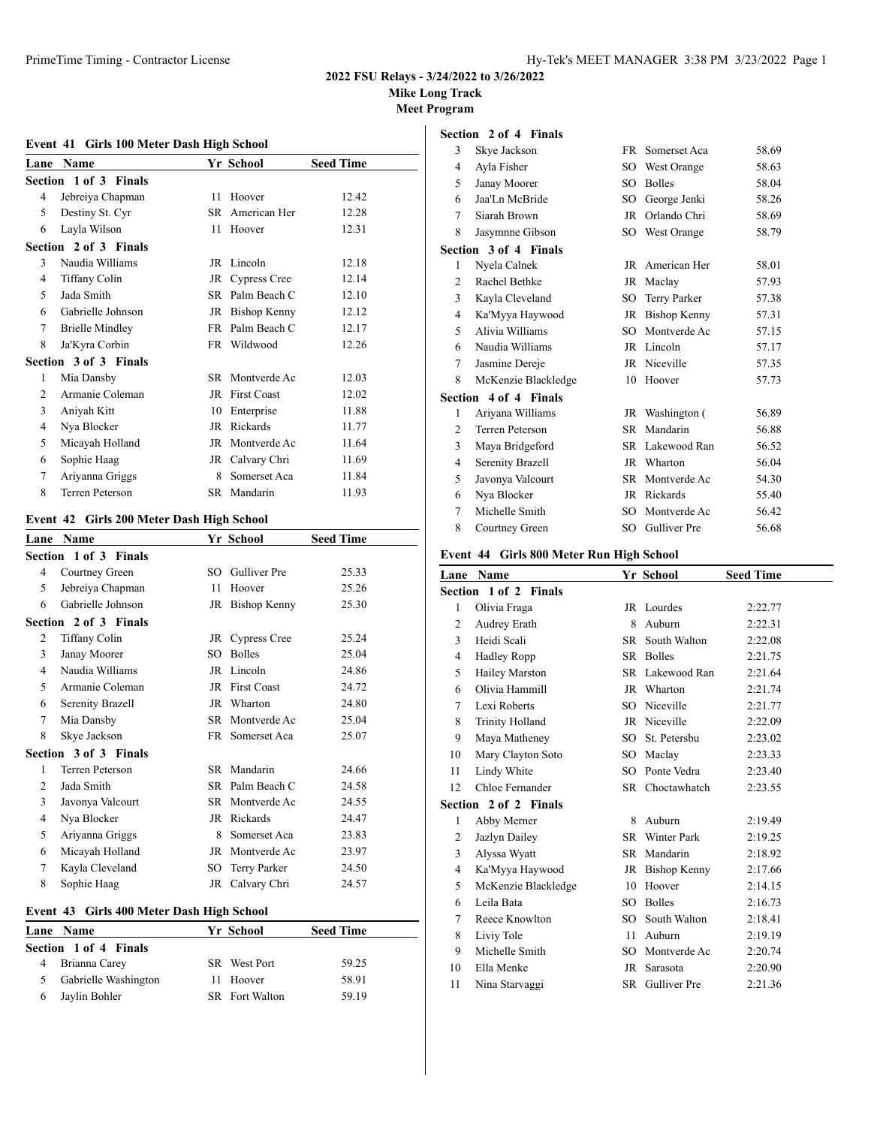# **Mike Long Track**

**Meet Program**

# **Event 41 Girls 100 Meter Dash High School**

| Lane                  | <b>Name</b>            |     | Yr School          | <b>Seed Time</b> |  |  |
|-----------------------|------------------------|-----|--------------------|------------------|--|--|
| Section 1 of 3 Finals |                        |     |                    |                  |  |  |
| 4                     | Jebreiya Chapman       | 11  | Hoover             | 12.42            |  |  |
| 5                     | Destiny St. Cyr        | SR. | American Her       | 12.28            |  |  |
| 6                     | Layla Wilson           | 11  | Hoover             | 12.31            |  |  |
|                       | Section 2 of 3 Finals  |     |                    |                  |  |  |
| 3                     | Naudia Williams        |     | JR Lincoln         | 12.18            |  |  |
| 4                     | Tiffany Colin          |     | JR Cypress Cree    | 12.14            |  |  |
| 5                     | Jada Smith             | SR. | Palm Beach C       | 12.10            |  |  |
| 6                     | Gabrielle Johnson      | JR  | Bishop Kenny       | 12.12            |  |  |
| 7                     | <b>Brielle Mindley</b> | FR  | Palm Beach C       | 12.17            |  |  |
| 8                     | Ja'Kyra Corbin         |     | FR Wildwood        | 12.26            |  |  |
|                       | Section 3 of 3 Finals  |     |                    |                  |  |  |
| 1                     | Mia Dansby             | SR. | Montverde Ac       | 12.03            |  |  |
| 2                     | Armanie Coleman        | JR  | <b>First Coast</b> | 12.02            |  |  |
| 3                     | Aniyah Kitt            | 10  | Enterprise         | 11.88            |  |  |
| 4                     | Nya Blocker            | JR  | Rickards           | 11.77            |  |  |
| 5                     | Micayah Holland        | JR  | Montverde Ac       | 11.64            |  |  |
| 6                     | Sophie Haag            | JR  | Calvary Chri       | 11.69            |  |  |
| 7                     | Ariyanna Griggs        | 8   | Somerset Aca       | 11.84            |  |  |
| 8                     | <b>Terren Peterson</b> |     | SR Mandarin        | 11.93            |  |  |

# **Event 42 Girls 200 Meter Dash High School**

| Lane           | <b>Name</b>            |      | Yr School           | <b>Seed Time</b> |
|----------------|------------------------|------|---------------------|------------------|
|                | Section 1 of 3 Finals  |      |                     |                  |
| 4              | Courtney Green         | SO.  | <b>Gulliver</b> Pre | 25.33            |
| 5              | Jebreiya Chapman       | 11   | Hoover              | 25.26            |
| 6              | Gabrielle Johnson      | JR   | Bishop Kenny        | 25.30            |
|                | Section 2 of 3 Finals  |      |                     |                  |
| 2              | Tiffany Colin          | JR   | Cypress Cree        | 25.24            |
| 3              | Janay Moorer           | SO.  | <b>Bolles</b>       | 25.04            |
| 4              | Naudia Williams        | JR   | Lincoln             | 24.86            |
| 5              | Armanie Coleman        | JR   | <b>First Coast</b>  | 24.72            |
| 6              | Serenity Brazell       |      | JR Wharton          | 24.80            |
| 7              | Mia Dansby             | SR   | Montverde Ac        | 25.04            |
| 8              | Skye Jackson           | FR.  | Somerset Aca        | 25.07            |
|                | Section 3 of 3 Finals  |      |                     |                  |
| 1              | <b>Terren Peterson</b> | SR.  | Mandarin            | 24.66            |
| $\overline{2}$ | Jada Smith             | SR – | Palm Beach C        | 24.58            |
| 3              | Javonya Valcourt       | SR.  | Montverde Ac        | 24.55            |
| 4              | Nya Blocker            | JR   | Rickards            | 24.47            |
| 5              | Ariyanna Griggs        | 8    | Somerset Aca        | 23.83            |
| 6              | Micayah Holland        | JR   | Montverde Ac        | 23.97            |
| 7              | Kayla Cleveland        | SO   | Terry Parker        | 24.50            |
| 8              | Sophie Haag            |      | JR Calvary Chri     | 24.57            |
|                |                        |      |                     |                  |

# **Event 43 Girls 400 Meter Dash High School**

|   | Lane Name              | Yr School             | <b>Seed Time</b> |
|---|------------------------|-----------------------|------------------|
|   | Section 1 of 4 Finals  |                       |                  |
| 4 | Brianna Carey          | <b>SR</b> West Port   | 59.25            |
|   | 5 Gabrielle Washington | 11 Hoover             | 58.91            |
|   | 6 Jaylin Bohler        | <b>SR</b> Fort Walton | 59.19            |

|                         |  | <b>Section 2 of 4 Finals</b> |  |
|-------------------------|--|------------------------------|--|
| $2 \times$ Class Lagran |  |                              |  |

| 3              | Skye Jackson                 | <b>FR</b> | Somerset Aca  | 58.69 |
|----------------|------------------------------|-----------|---------------|-------|
| 4              | Ayla Fisher                  | SO        | West Orange   | 58.63 |
| 5              | Janay Moorer                 | SO        | <b>Bolles</b> | 58.04 |
| 6              | Jaa'Ln McBride               | SO        | George Jenki  | 58.26 |
| 7              | Siarah Brown                 | JR        | Orlando Chri  | 58.69 |
| 8              | Jasymnne Gibson              | SO        | West Orange   | 58.79 |
|                | <b>Section 3 of 4 Finals</b> |           |               |       |
| 1              | Nyela Calnek                 | JR        | American Her  | 58.01 |
| $\overline{c}$ | Rachel Bethke                | <b>JR</b> | Maclay        | 57.93 |
| 3              | Kayla Cleveland              | SO        | Terry Parker  | 57.38 |
| $\overline{4}$ | Ka'Myya Haywood              | JR        | Bishop Kenny  | 57.31 |
| 5              | Alivia Williams              | SO        | Montverde Ac  | 57.15 |
| 6              | Naudia Williams              | JR        | Lincoln       | 57.17 |
| 7              | Jasmine Dereje               | JR        | Niceville     | 57.35 |
| 8              | McKenzie Blackledge          | 10        | Hoover        | 57.73 |
|                | <b>Section 4 of 4 Finals</b> |           |               |       |
| 1              | Ariyana Williams             | JR        | Washington (  | 56.89 |
| $\overline{2}$ | <b>Terren Peterson</b>       | SR        | Mandarin      | 56.88 |
| 3              | Maya Bridgeford              | SR        | Lakewood Ran  | 56.52 |
| $\overline{4}$ | Serenity Brazell             | JR        | Wharton       | 56.04 |
| 5              | Javonya Valcourt             | SR        | Montverde Ac  | 54.30 |
| 6              | Nya Blocker                  | JR        | Rickards      | 55.40 |
| 7              | Michelle Smith               | SO        | Montverde Ac  | 56.42 |
| 8              | Courtney Green               | SO        | Gulliver Pre  | 56.68 |

# **Event 44 Girls 800 Meter Run High School**

| Lane           | Name                  |           | Yr School           | <b>Seed Time</b> |
|----------------|-----------------------|-----------|---------------------|------------------|
|                | Section 1 of 2 Finals |           |                     |                  |
| 1              | Olivia Fraga          |           | JR Lourdes          | 2:22.77          |
| $\overline{2}$ | Audrey Erath          | 8         | Auburn              | 2:22.31          |
| 3              | Heidi Scali           | SR        | South Walton        | 2:22.08          |
| 4              | <b>Hadley Ropp</b>    | SR        | <b>Bolles</b>       | 2:21.75          |
| 5              | <b>Hailey Marston</b> |           | SR Lakewood Ran     | 2:21.64          |
| 6              | Olivia Hammill        | JR        | Wharton             | 2:21.74          |
| 7              | Lexi Roberts          |           | SO Niceville        | 2:21.77          |
| 8              | Trinity Holland       |           | JR Niceville        | 2:22.09          |
| 9              | Maya Matheney         |           | SO St. Petersbu     | 2:23.02          |
| 10             | Mary Clayton Soto     | SO        | Maclay              | 2:23.33          |
| 11             | Lindy White           | SO.       | Ponte Vedra         | 2:23.40          |
| 12             | Chloe Fernander       | SR        | Choctawhatch        | 2:23.55          |
|                | Section 2 of 2 Finals |           |                     |                  |
| 1              | Abby Merner           | 8         | Auburn              | 2:19.49          |
| $\overline{2}$ | Jazlyn Dailey         | SR.       | <b>Winter Park</b>  | 2:19.25          |
| 3              | Alyssa Wyatt          | SR        | Mandarin            | 2:18.92          |
| 4              | Ka'Myya Haywood       | JR        | <b>Bishop Kenny</b> | 2:17.66          |
| 5              | McKenzie Blackledge   | 10        | Hoover              | 2:14.15          |
| 6              | Leila Bata            | SO.       | <b>Bolles</b>       | 2:16.73          |
| 7              | Reece Knowlton        | SO.       | South Walton        | 2:18.41          |
| 8              | Liviy Tole            | 11        | Auburn              | 2:19.19          |
| 9              | Michelle Smith        | SO.       | Montverde Ac        | 2:20.74          |
| 10             | Ella Menke            | JR        | Sarasota            | 2:20.90          |
| 11             | Nina Starvaggi        | <b>SR</b> | Gulliver Pre        | 2:21.36          |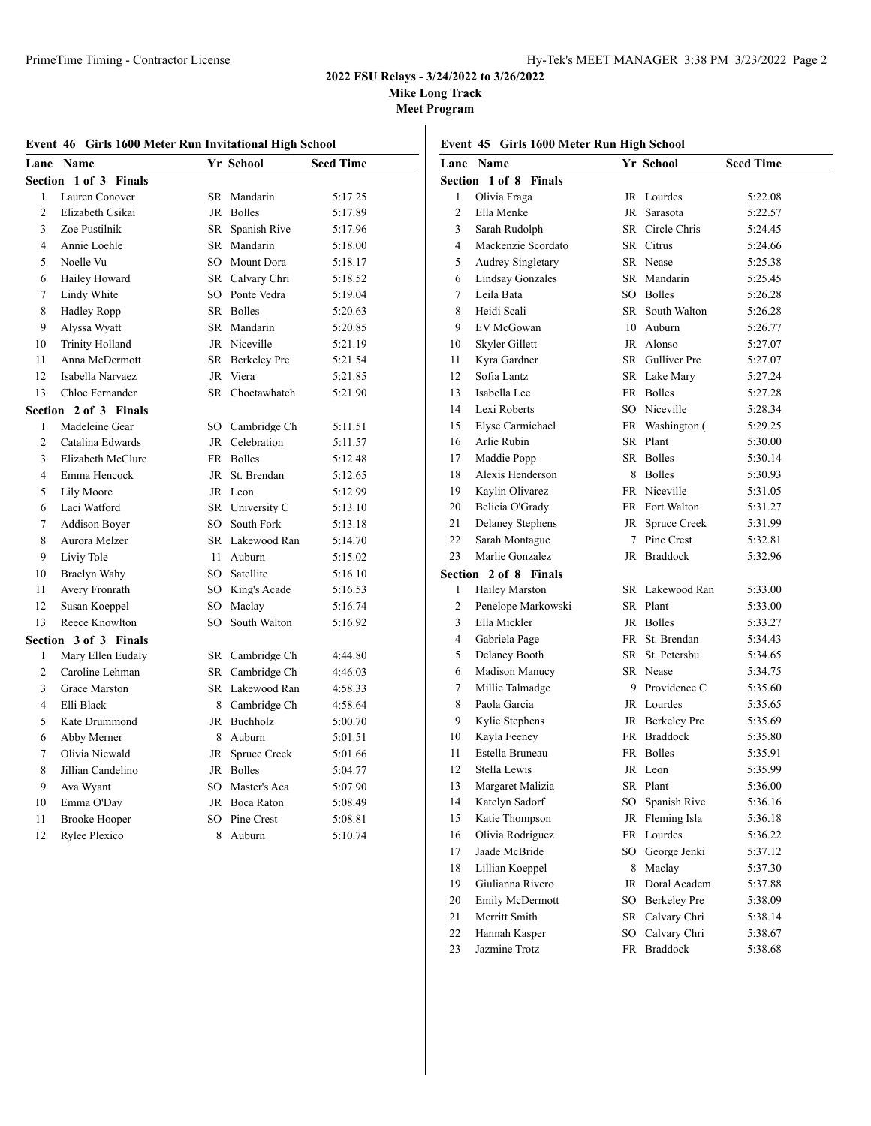**Mike Long Track**

|  |  | Event 46 Girls 1600 Meter Run Invitational High School |
|--|--|--------------------------------------------------------|
|  |  |                                                        |

|  | Event 45 Girls 1600 Meter Run High School |  |  |  |  |  |  |
|--|-------------------------------------------|--|--|--|--|--|--|
|--|-------------------------------------------|--|--|--|--|--|--|

|                | Lane Name              |           | Yr School       | <b>Seed Time</b> |
|----------------|------------------------|-----------|-----------------|------------------|
| Section        | 1 of 3 Finals          |           |                 |                  |
| 1              | Lauren Conover         | SR        | Mandarin        | 5:17.25          |
| $\overline{c}$ | Elizabeth Csikai       |           | JR Bolles       | 5:17.89          |
| 3              | Zoe Pustilnik          |           | SR Spanish Rive | 5:17.96          |
| $\overline{4}$ | Annie Loehle           |           | SR Mandarin     | 5:18.00          |
| 5              | Noelle Vu              |           | SO Mount Dora   | 5:18.17          |
| 6              | Hailey Howard          |           | SR Calvary Chri | 5:18.52          |
| 7              | Lindy White            |           | SO Ponte Vedra  | 5:19.04          |
| 8              | <b>Hadley Ropp</b>     |           | SR Bolles       | 5:20.63          |
| 9              | Alyssa Wyatt           |           | SR Mandarin     | 5:20.85          |
| 10             | <b>Trinity Holland</b> |           | JR Niceville    | 5:21.19          |
| 11             | Anna McDermott         |           | SR Berkeley Pre | 5:21.54          |
| 12             | Isabella Narvaez       | <b>JR</b> | Viera           | 5:21.85          |
| 13             | Chloe Fernander        |           | SR Choctawhatch | 5:21.90          |
| Section        | 2 of 3 Finals          |           |                 |                  |
| 1              | Madeleine Gear         |           | SO Cambridge Ch | 5:11.51          |
| $\overline{c}$ | Catalina Edwards       |           | JR Celebration  | 5:11.57          |
| 3              | Elizabeth McClure      |           | FR Bolles       | 5:12.48          |
| $\overline{4}$ | Emma Hencock           |           | JR St. Brendan  | 5:12.65          |
| 5              | Lily Moore             |           | JR Leon         | 5:12.99          |
| 6              | Laci Watford           |           | SR University C | 5:13.10          |
| $\tau$         | Addison Boyer          |           | SO South Fork   | 5:13.18          |
| 8              | Aurora Melzer          |           | SR Lakewood Ran | 5:14.70          |
| 9              | Liviy Tole             | 11        | Auburn          | 5:15.02          |
| 10             | Braelyn Wahy           |           | SO Satellite    | 5:16.10          |
| 11             | Avery Fronrath         |           | SO King's Acade | 5:16.53          |
| 12             | Susan Koeppel          | SO        | Maclay          | 5:16.74          |
| 13             | Reece Knowlton         | SO        | South Walton    | 5:16.92          |
|                | Section 3 of 3 Finals  |           |                 |                  |
| $\mathbf{1}$   | Mary Ellen Eudaly      |           | SR Cambridge Ch | 4:44.80          |
| $\overline{c}$ | Caroline Lehman        |           | SR Cambridge Ch | 4:46.03          |
| 3              | Grace Marston          |           | SR Lakewood Ran | 4:58.33          |
| $\overline{4}$ | Elli Black             |           | 8 Cambridge Ch  | 4:58.64          |
| 5              | Kate Drummond          |           | JR Buchholz     | 5:00.70          |
| 6              | Abby Merner            | 8         | Auburn          | 5:01.51          |
| 7              | Olivia Niewald         | JR        | Spruce Creek    | 5:01.66          |
| 8              | Jillian Candelino      |           | JR Bolles       | 5:04.77          |
| 9              | Ava Wyant              |           | SO Master's Aca | 5:07.90          |
| 10             | Emma O'Day             |           | JR Boca Raton   | 5:08.49          |
| 11             | <b>Brooke Hooper</b>   | SO.       | Pine Crest      | 5:08.81          |
| 12             | Rylee Plexico          | 8         | Auburn          | 5:10.74          |
|                |                        |           |                 |                  |

|                | Lane Name               |     | Yr School           | <b>Seed Time</b> |
|----------------|-------------------------|-----|---------------------|------------------|
|                | Section 1 of 8 Finals   |     |                     |                  |
| 1              | Olivia Fraga            |     | JR Lourdes          | 5:22.08          |
| $\overline{c}$ | Ella Menke              |     | JR Sarasota         | 5:22.57          |
| 3              | Sarah Rudolph           |     | SR Circle Chris     | 5:24.45          |
| $\overline{4}$ | Mackenzie Scordato      |     | SR Citrus           | 5:24.66          |
| 5              | Audrey Singletary       |     | SR Nease            | 5:25.38          |
| 6              | <b>Lindsay Gonzales</b> |     | SR Mandarin         | 5:25.45          |
| 7              | Leila Bata              |     | SO Bolles           | 5:26.28          |
| 8              | Heidi Scali             |     | SR South Walton     | 5:26.28          |
| 9              | EV McGowan              | 10  | Auburn              | 5:26.77          |
| 10             | Skyler Gillett          |     | JR Alonso           | 5:27.07          |
| 11             | Kyra Gardner            |     | SR Gulliver Pre     | 5:27.07          |
| 12             | Sofia Lantz             |     | SR Lake Mary        | 5:27.24          |
| 13             | Isabella Lee            |     | FR Bolles           | 5:27.28          |
| 14             | Lexi Roberts            |     | SO Niceville        | 5:28.34          |
| 15             | Elyse Carmichael        |     | FR Washington (     | 5:29.25          |
| 16             | Arlie Rubin             |     | SR Plant            | 5:30.00          |
| 17             | Maddie Popp             | SR. | <b>Bolles</b>       | 5:30.14          |
| 18             | Alexis Henderson        | 8   | <b>Bolles</b>       | 5:30.93          |
| 19             | Kaylin Olivarez         |     | FR Niceville        | 5:31.05          |
| 20             | Belicia O'Grady         |     | FR Fort Walton      | 5:31.27          |
| 21             | <b>Delaney Stephens</b> | JR  | Spruce Creek        | 5:31.99          |
| 22             | Sarah Montague          | 7   | Pine Crest          | 5:32.81          |
| 23             | Marlie Gonzalez         |     | JR Braddock         | 5:32.96          |
|                | Section 2 of 8 Finals   |     |                     |                  |
| 1              | Hailey Marston          |     | SR Lakewood Ran     | 5:33.00          |
| $\overline{c}$ | Penelope Markowski      |     | SR Plant            | 5:33.00          |
| 3              | Ella Mickler            |     | JR Bolles           | 5:33.27          |
| $\overline{4}$ | Gabriela Page           |     | FR St. Brendan      | 5:34.43          |
| 5              | Delaney Booth           |     | SR St. Petersbu     | 5:34.65          |
| 6              | Madison Manucy          |     | SR Nease            | 5:34.75          |
| 7              | Millie Talmadge         | 9   | Providence C        | 5:35.60          |
| 8              | Paola Garcia            |     | JR Lourdes          | 5:35.65          |
| 9              | Kylie Stephens          |     | JR Berkelev Pre     | 5:35.69          |
| 10             | Kayla Feeney            |     | FR Braddock         | 5:35.80          |
| 11             | Estella Bruneau         | FR  | Bolles              | 5:35.91          |
| 12             | Stella Lewis            | JR  | Leon                | 5:35.99          |
| 13             | Margaret Malizia        | SR  | Plant               | 5:36.00          |
| 14             | Katelyn Sadorf          | SO  | Spanish Rive        | 5:36.16          |
| 15             | Katie Thompson          | JR  | Fleming Isla        | 5:36.18          |
| 16             | Olivia Rodriguez        | FR  | Lourdes             | 5:36.22          |
| 17             | Jaade McBride           | SO  | George Jenki        | 5:37.12          |
| 18             | Lillian Koeppel         | 8   | Maclay              | 5:37.30          |
| 19             | Giulianna Rivero        | JR  | Doral Academ        | 5:37.88          |
| 20             | Emily McDermott         | SO  | <b>Berkeley Pre</b> | 5:38.09          |
| 21             | Merritt Smith           |     | SR Calvary Chri     | 5:38.14          |
| 22             | Hannah Kasper           | SO  | Calvary Chri        | 5:38.67          |
| 23             | Jazmine Trotz           | FR  | Braddock            | 5:38.68          |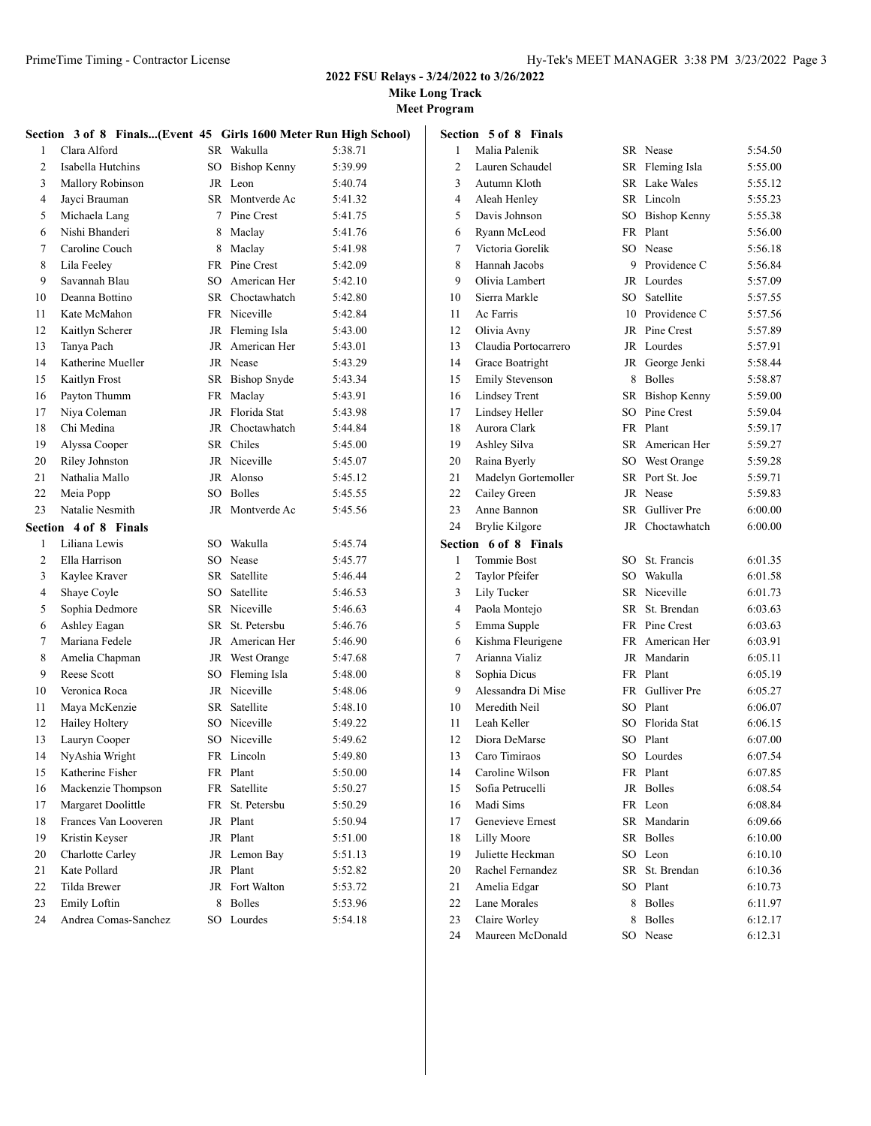**Mike Long Track**

|                | Section 3 of 8 Finals(Event 45 Girls 1600 Meter Run High School) |         |                              |                    |
|----------------|------------------------------------------------------------------|---------|------------------------------|--------------------|
| 1              | Clara Alford                                                     |         | SR Wakulla                   | 5:38.71            |
| $\overline{c}$ | Isabella Hutchins                                                | $SO^-$  | Bishop Kenny                 | 5:39.99            |
| 3              | Mallory Robinson                                                 |         | JR Leon                      | 5:40.74            |
| $\overline{4}$ | Jayci Brauman                                                    | SR      | Montverde Ac                 | 5:41.32            |
| 5              | Michaela Lang                                                    | $\tau$  | Pine Crest                   | 5:41.75            |
| 6              | Nishi Bhanderi                                                   | 8       | Maclay                       | 5:41.76            |
| 7              | Caroline Couch                                                   | 8       | Maclay                       | 5:41.98            |
| 8              | Lila Feeley                                                      |         | FR Pine Crest                | 5:42.09            |
| 9              | Savannah Blau                                                    |         | SO American Her              | 5:42.10            |
| 10             | Deanna Bottino                                                   |         | SR Choctawhatch              | 5:42.80            |
| 11             | Kate McMahon                                                     |         | FR Niceville                 | 5:42.84            |
| 12             | Kaitlyn Scherer                                                  |         | JR Fleming Isla              | 5:43.00            |
| 13             | Tanya Pach                                                       |         | JR American Her              | 5:43.01            |
| 14             | Katherine Mueller                                                |         | JR Nease                     | 5:43.29            |
| 15             | Kaitlyn Frost                                                    |         | SR Bishop Snyde              | 5:43.34            |
| 16             | Payton Thumm                                                     | FR      | Maclay                       | 5:43.91            |
| 17             | Niya Coleman                                                     | JR      | Florida Stat                 | 5:43.98            |
| 18             | Chi Medina                                                       | JR      | Choctawhatch                 | 5:44.84            |
| 19             | Alyssa Cooper                                                    |         | SR Chiles                    | 5:45.00            |
| 20             | Riley Johnston                                                   |         | JR Niceville                 | 5:45.07            |
| 21             | Nathalia Mallo                                                   |         | JR Alonso                    | 5:45.12            |
| 22             | Meia Popp                                                        | SO      | <b>Bolles</b>                | 5:45.55            |
| 23             | Natalie Nesmith                                                  |         | JR Montverde Ac              | 5:45.56            |
|                | Section 4 of 8 Finals                                            |         |                              |                    |
| 1              | Liliana Lewis                                                    |         | SO Wakulla                   | 5:45.74            |
| $\overline{2}$ | Ella Harrison                                                    |         | SO Nease                     | 5:45.77            |
| 3              | Kaylee Kraver                                                    |         | SR Satellite                 | 5:46.44            |
| $\overline{4}$ | Shaye Coyle                                                      | SO      | Satellite                    | 5:46.53            |
| 5              | Sophia Dedmore                                                   |         | SR Niceville                 | 5:46.63            |
| 6              | Ashley Eagan                                                     | SR      | St. Petersbu                 | 5:46.76            |
| 7              | Mariana Fedele                                                   |         | JR American Her              | 5:46.90            |
| 8              | Amelia Chapman                                                   |         | JR West Orange               | 5:47.68            |
| 9              | <b>Reese Scott</b>                                               | SO      | Fleming Isla                 | 5:48.00            |
| 10             | Veronica Roca                                                    |         | JR Niceville                 | 5:48.06            |
| 11             | Maya McKenzie                                                    | SR      | Satellite                    | 5:48.10            |
| 12             | Hailey Holtery                                                   |         | SO Niceville                 | 5:49.22            |
| 13             | Lauryn Cooper                                                    |         | SO Niceville                 | 5:49.62            |
| 14             | NyAshia Wright                                                   |         | FR Lincoln                   | 5:49.80            |
| 15             | Katherine Fisher                                                 |         | FR Plant                     | 5:50.00            |
| 16             | Mackenzie Thompson                                               | FR      | Satellite                    | 5:50.27            |
| 17             | Margaret Doolittle                                               | FR      | St. Petersbu                 | 5:50.29            |
| 18             | Frances Van Looveren                                             | JR      | Plant                        | 5:50.94            |
| 19             | Kristin Keyser                                                   | JR      | Plant                        | 5:51.00            |
| 20             | Charlotte Carley                                                 | JR      | Lemon Bay                    | 5:51.13            |
| 21             | Kate Pollard                                                     | JR      | Plant                        | 5:52.82<br>5:53.72 |
| 22<br>23       | Tilda Brewer                                                     | JR<br>8 | Fort Walton<br><b>Bolles</b> |                    |
| 24             | Emily Loftin<br>Andrea Comas-Sanchez                             |         | SO Lourdes                   | 5:53.96            |
|                |                                                                  |         |                              | 5:54.18            |

|    | <b>Section 5 of 8 Finals</b> |    |                      |         |
|----|------------------------------|----|----------------------|---------|
| 1  | Malia Palenik                |    | SR Nease             | 5:54.50 |
| 2  | Lauren Schaudel              |    | SR Fleming Isla      | 5:55.00 |
| 3  | Autumn Kloth                 |    | SR Lake Wales        | 5:55.12 |
| 4  | Aleah Henley                 |    | SR Lincoln           | 5:55.23 |
| 5  | Davis Johnson                |    | SO Bishop Kenny      | 5:55.38 |
| 6  | Ryann McLeod                 |    | FR Plant             | 5:56.00 |
| 7  | Victoria Gorelik             |    | SO Nease             | 5:56.18 |
| 8  | Hannah Jacobs                |    | 9 Providence C       | 5:56.84 |
| 9  | Olivia Lambert               |    | JR Lourdes           | 5:57.09 |
| 10 | Sierra Markle                |    | SO Satellite         | 5:57.55 |
| 11 | Ac Farris                    |    | 10 Providence C      | 5:57.56 |
| 12 | Olivia Avny                  |    | <b>IR</b> Pine Crest | 5:57.89 |
| 13 | Claudia Portocarrero         |    | JR Lourdes           | 5:57.91 |
| 14 | Grace Boatright              |    | JR George Jenki      | 5:58.44 |
| 15 | <b>Emily Stevenson</b>       |    | 8 Bolles             | 5:58.87 |
| 16 | <b>Lindsey Trent</b>         |    | SR Bishop Kenny      | 5:59.00 |
| 17 | Lindsey Heller               |    | SO Pine Crest        | 5:59.04 |
| 18 | Aurora Clark                 |    | FR Plant             | 5:59.17 |
| 19 | Ashley Silva                 |    | SR American Her      | 5:59.27 |
| 20 | Raina Byerly                 |    | SO West Orange       | 5:59.28 |
| 21 | Madelyn Gortemoller          |    | SR Port St. Joe      | 5:59.71 |
| 22 | Cailey Green                 |    | JR Nease             | 5:59.83 |
| 23 | Anne Bannon                  |    | SR Gulliver Pre      | 6:00.00 |
| 24 | Brylie Kilgore               |    | JR Choctawhatch      | 6:00.00 |
|    | Section 6 of 8 Finals        |    |                      |         |
| 1  | <b>Tommie Bost</b>           |    | SO St. Francis       | 6:01.35 |
| 2  | Taylor Pfeifer               |    | SO Wakulla           | 6:01.58 |
| 3  | Lily Tucker                  |    | SR Niceville         | 6:01.73 |
| 4  | Paola Montejo                |    | SR St. Brendan       | 6:03.63 |
| 5  | Emma Supple                  |    | FR Pine Crest        | 6:03.63 |
| 6  | Kishma Fleurigene            |    | FR American Her      | 6:03.91 |
| 7  | Arianna Vializ               |    | JR Mandarin          | 6:05.11 |
| 8  | Sophia Dicus                 |    | FR Plant             | 6:05.19 |
| 9  | Alessandra Di Mise           |    | FR Gulliver Pre      | 6:05.27 |
| 10 | Meredith Neil                |    | SO Plant             | 6:06.07 |
| 11 | Leah Keller                  |    | SO Florida Stat      | 6:06.15 |
| 12 | Diora DeMarse                |    | SO Plant             | 6:07.00 |
| 13 | Caro Timiraos                | SO | Lourdes              | 6:07.54 |
| 14 | Caroline Wilson              |    | FR Plant             | 6:07.85 |
| 15 | Sofia Petrucelli             |    | JR Bolles            | 6:08.54 |
| 16 | Madi Sims                    |    | FR Leon              | 6:08.84 |
| 17 | Genevieve Ernest             |    | SR Mandarin          | 6:09.66 |
| 18 | <b>Lilly Moore</b>           |    | SR Bolles            | 6:10.00 |
| 19 | Juliette Heckman             |    | SO Leon              | 6:10.10 |
| 20 | Rachel Fernandez             | SR | St. Brendan          | 6:10.36 |
| 21 | Amelia Edgar                 |    | SO Plant             | 6:10.73 |
| 22 | Lane Morales                 |    | 8 Bolles             | 6:11.97 |
| 23 | Claire Worley                | 8  | <b>Bolles</b>        | 6:12.17 |
| 24 | Maureen McDonald             |    | SO Nease             | 6:12.31 |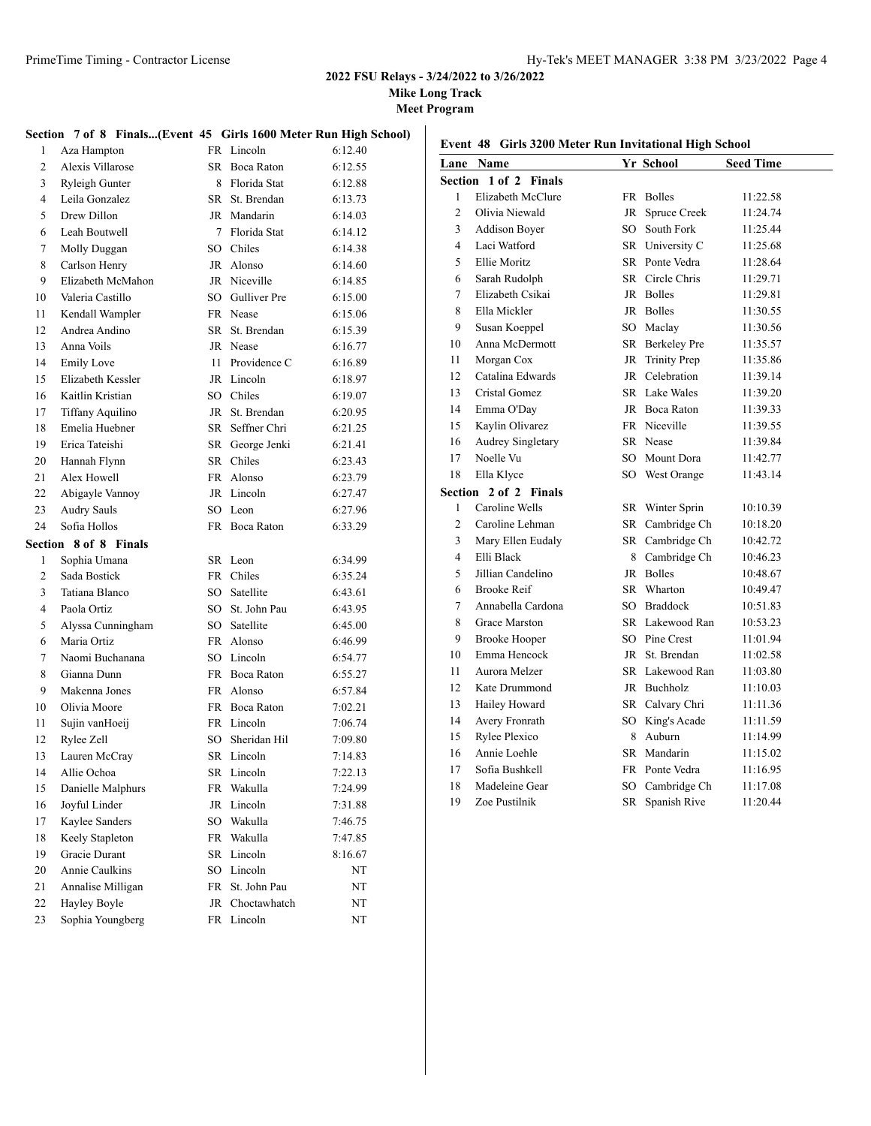**Mike Long Track**

**Meet Program**

#### **Section 7 of 8 Finals...(Event 45 Girls 1600 Meter Run High School)**

| 1        | Aza Hampton                      |          | FR Lincoln                 | 6:12.40            |
|----------|----------------------------------|----------|----------------------------|--------------------|
| 2        | Alexis Villarose                 | SR.      | Boca Raton                 | 6:12.55            |
| 3        | Ryleigh Gunter                   |          | 8 Florida Stat             | 6:12.88            |
| 4        | Leila Gonzalez                   | SR       | St. Brendan                | 6:13.73            |
| 5        | Drew Dillon                      |          | JR Mandarin                | 6:14.03            |
| 6        | Leah Boutwell                    | $\tau$   | Florida Stat               | 6:14.12            |
| 7        | Molly Duggan                     | SO       | Chiles                     | 6:14.38            |
| 8        | Carlson Henry                    |          | JR Alonso                  | 6:14.60            |
| 9        | Elizabeth McMahon                |          | JR Niceville               | 6:14.85            |
| 10       | Valeria Castillo                 |          | SO Gulliver Pre            | 6:15.00            |
| 11       | Kendall Wampler                  |          | FR Nease                   | 6:15.06            |
| 12       | Andrea Andino                    | SR.      | St. Brendan                | 6:15.39            |
| 13       | Anna Voils                       |          | JR Nease                   | 6:16.77            |
| 14       | <b>Emily Love</b>                | 11       | Providence C               | 6:16.89            |
| 15       | Elizabeth Kessler                |          | JR Lincoln                 | 6:18.97            |
| 16       | Kaitlin Kristian                 |          | SO Chiles                  | 6:19.07            |
| 17       | Tiffany Aquilino                 | JR       | St. Brendan                | 6:20.95            |
| 18       | Emelia Huebner                   | SR       | Seffner Chri               | 6:21.25            |
| 19       | Erica Tateishi                   | SR       | George Jenki               | 6:21.41            |
| 20       | Hannah Flynn                     | SR       | Chiles                     | 6:23.43            |
| 21       | Alex Howell                      |          | FR Alonso                  | 6:23.79            |
| 22       | Abigayle Vannoy                  |          | JR Lincoln                 | 6:27.47            |
| 23       | <b>Audry Sauls</b>               |          | SO Leon                    | 6:27.96            |
| 24       | Sofia Hollos                     |          | FR Boca Raton              | 6:33.29            |
|          |                                  |          |                            |                    |
|          |                                  |          |                            |                    |
| Section  | 8 of 8 Finals                    |          |                            |                    |
| 1        | Sophia Umana                     |          | SR Leon                    | 6:34.99            |
| 2        | Sada Bostick                     |          | FR Chiles                  | 6:35.24            |
| 3        | Tatiana Blanco                   |          | SO Satellite               | 6:43.61            |
| 4        | Paola Ortiz                      |          | SO St. John Pau            | 6:43.95            |
| 5        | Alyssa Cunningham<br>Maria Ortiz |          | SO Satellite<br>FR Alonso  | 6:45.00            |
| 6<br>7   | Naomi Buchanana                  | SO.      | Lincoln                    | 6:46.99            |
|          |                                  |          |                            | 6:54.77            |
| 8        | Gianna Dunn                      |          | FR Boca Raton              | 6:55.27            |
| 9        | Makenna Jones                    |          | FR Alonso<br>FR Boca Raton | 6:57.84            |
| 10       | Olivia Moore                     |          | FR Lincoln                 | 7:02.21<br>7:06.74 |
| 11       | Sujin vanHoeij                   |          |                            |                    |
| 12       | Rylee Zell                       | SO.      | Sheridan Hil<br>SR Lincoln | 7:09.80<br>7:14.83 |
| 13<br>14 | Lauren McCray<br>Allie Ochoa     | SR.      |                            | 7:22.13            |
|          |                                  |          | Lincoln                    |                    |
| 15       | Danielle Malphurs                | FR       | Wakulla                    | 7:24.99            |
| 16       | Joyful Linder                    | JR       | Lincoln                    | 7:31.88            |
| 17       | Kaylee Sanders                   | SO       | Wakulla                    | 7:46.75            |
| 18       | Keely Stapleton                  | FR       | Wakulla                    | 7:47.85            |
| 19       | Gracie Durant<br>Annie Caulkins  | SR       | Lincoln                    | 8:16.67            |
| 20       |                                  | SO       | Lincoln                    | NT                 |
| 21       | Annalise Milligan                | FR       | St. John Pau               | NT                 |
| 22<br>23 | Hayley Boyle<br>Sophia Youngberg | JR<br>FR | Choctawhatch<br>Lincoln    | NT<br>NT           |

|                | Lane Name             |    | Yr School       | <b>Seed Time</b> |
|----------------|-----------------------|----|-----------------|------------------|
|                | Section 1 of 2 Finals |    |                 |                  |
| 1              | Elizabeth McClure     |    | FR Bolles       | 11:22.58         |
| $\overline{c}$ | Olivia Niewald        | JR | Spruce Creek    | 11:24.74         |
| 3              | <b>Addison Boyer</b>  |    | SO South Fork   | 11:25.44         |
| $\overline{4}$ | Laci Watford          |    | SR University C | 11:25.68         |
| 5              | Ellie Moritz          |    | SR Ponte Vedra  | 11:28.64         |
| 6              | Sarah Rudolph         |    | SR Circle Chris | 11:29.71         |
| 7              | Elizabeth Csikai      |    | JR Bolles       | 11:29.81         |
| 8              | Ella Mickler          |    | JR Bolles       | 11:30.55         |
| 9              | Susan Koeppel         |    | SO Maclay       | 11:30.56         |
| 10             | Anna McDermott        |    | SR Berkeley Pre | 11:35.57         |
| 11             | Morgan Cox            |    | JR Trinity Prep | 11:35.86         |
| 12             | Catalina Edwards      |    | JR Celebration  | 11:39.14         |
| 13             | Cristal Gomez         |    | SR Lake Wales   | 11:39.20         |
| 14             | Emma O'Day            |    | JR Boca Raton   | 11:39.33         |
| 15             | Kaylin Olivarez       |    | FR Niceville    | 11:39.55         |
| 16             | Audrey Singletary     |    | SR Nease        | 11:39.84         |
| 17             | Noelle Vu             |    | SO Mount Dora   | 11:42.77         |
| 18             | Ella Klyce            |    | SO West Orange  | 11:43.14         |
|                | Section 2 of 2 Finals |    |                 |                  |
| 1              | Caroline Wells        |    | SR Winter Sprin | 10:10.39         |
| 2              | Caroline Lehman       |    | SR Cambridge Ch | 10:18.20         |
| 3              | Mary Ellen Eudaly     |    | SR Cambridge Ch | 10:42.72         |
| 4              | Elli Black            |    | 8 Cambridge Ch  | 10:46.23         |
| 5              | Jillian Candelino     |    | JR Bolles       | 10:48.67         |
| 6              | <b>Brooke Reif</b>    |    | SR Wharton      | 10:49.47         |
| 7              | Annabella Cardona     |    | SO Braddock     | 10:51.83         |
| 8              | <b>Grace Marston</b>  |    | SR Lakewood Ran | 10:53.23         |
| 9              | <b>Brooke Hooper</b>  |    | SO Pine Crest   | 11:01.94         |
| 10             | Emma Hencock          |    | JR St. Brendan  | 11:02.58         |
| 11             | Aurora Melzer         |    | SR Lakewood Ran | 11:03.80         |
| 12             | Kate Drummond         |    | JR Buchholz     | 11:10.03         |
| 13             | Hailey Howard         |    | SR Calvary Chri | 11:11.36         |
| 14             | Avery Fronrath        |    | SO King's Acade | 11:11.59         |
| 15             | Rylee Plexico         |    | 8 Auburn        | 11:14.99         |
| 16             | Annie Loehle          |    | SR Mandarin     | 11:15.02         |
| 17             | Sofia Bushkell        |    | FR Ponte Vedra  | 11:16.95         |
| 18             | Madeleine Gear        |    | SO Cambridge Ch | 11:17.08         |
| 19             | Zoe Pustilnik         |    | SR Spanish Rive | 11:20.44         |
|                |                       |    |                 |                  |

# **Event 48 Girls 3200 Meter Run Invitational High School**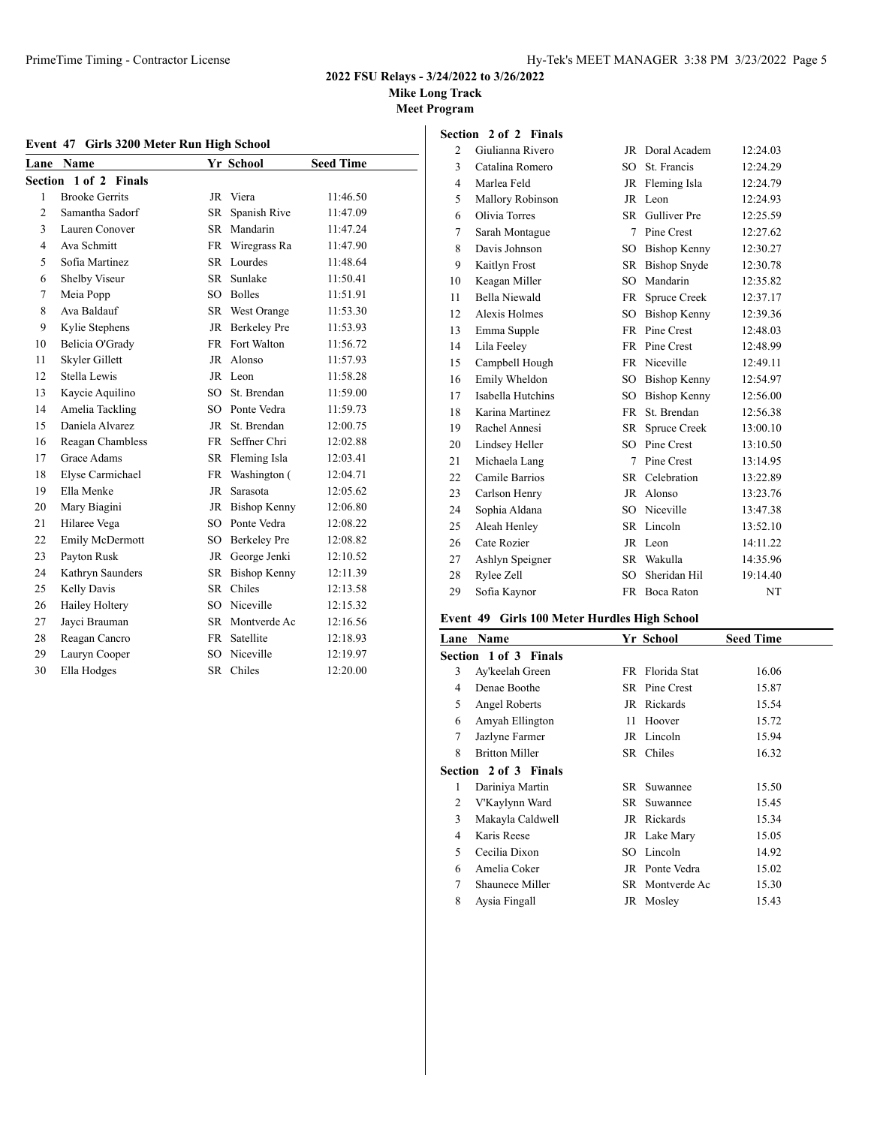**Mike Long Track**

**Meet Program**

### **Event 47 Girls 3200 Meter Run High School**

| Lane           | <b>Name</b>           |                 | Yr School       | <b>Seed Time</b> |
|----------------|-----------------------|-----------------|-----------------|------------------|
| <b>Section</b> | 1 of 2 Finals         |                 |                 |                  |
| 1              | <b>Brooke Gerrits</b> |                 | JR Viera        | 11:46.50         |
| $\overline{2}$ | Samantha Sadorf       | SR.             | Spanish Rive    | 11:47.09         |
| 3              | Lauren Conover        | SR -            | Mandarin        | 11:47.24         |
| $\overline{4}$ | Ava Schmitt           |                 | FR Wiregrass Ra | 11:47.90         |
| 5              | Sofia Martinez        |                 | SR Lourdes      | 11:48.64         |
| 6              | Shelby Viseur         | SR              | Sunlake         | 11:50.41         |
| 7              | Meia Popp             |                 | SO Bolles       | 11:51.91         |
| 8              | Ava Baldauf           |                 | SR West Orange  | 11:53.30         |
| 9              | Kylie Stephens        |                 | JR Berkeley Pre | 11:53.93         |
| 10             | Belicia O'Grady       |                 | FR Fort Walton  | 11:56.72         |
| 11             | Skyler Gillett        | JR              | Alonso          | 11:57.93         |
| 12             | Stella Lewis          |                 | JR Leon         | 11:58.28         |
| 13             | Kaycie Aquilino       | SO.             | St. Brendan     | 11:59.00         |
| 14             | Amelia Tackling       |                 | SO Ponte Vedra  | 11:59.73         |
| 15             | Daniela Alvarez       | JR              | St. Brendan     | 12:00.75         |
| 16             | Reagan Chambless      | FR -            | Seffner Chri    | 12:02.88         |
| 17             | Grace Adams           |                 | SR Fleming Isla | 12:03.41         |
| 18             | Elyse Carmichael      |                 | FR Washington ( | 12:04.71         |
| 19             | Ella Menke            | JR              | Sarasota        | 12:05.62         |
| 20             | Mary Biagini          |                 | JR Bishop Kenny | 12:06.80         |
| 21             | Hilaree Vega          |                 | SO Ponte Vedra  | 12:08.22         |
| 22             | Emily McDermott       |                 | SO Berkeley Pre | 12:08.82         |
| 23             | Payton Rusk           | JR              | George Jenki    | 12:10.52         |
| 24             | Kathryn Saunders      |                 | SR Bishop Kenny | 12:11.39         |
| 25             | Kelly Davis           | SR.             | Chiles          | 12:13.58         |
| 26             | Hailey Holtery        | $SO^-$          | Niceville       | 12:15.32         |
| 27             | Jayci Brauman         |                 | SR Montverde Ac | 12:16.56         |
| 28             | Reagan Cancro         | <b>FR</b>       | Satellite       | 12:18.93         |
| 29             | Lauryn Cooper         | SO <sub>2</sub> | Niceville       | 12:19.97         |
| 30             | Ella Hodges           | <b>SR</b>       | Chiles          | 12:20.00         |

| Section        | 2 of 2 Finals        |              |                     |           |
|----------------|----------------------|--------------|---------------------|-----------|
| 2              | Giulianna Rivero     | JR           | Doral Academ        | 12:24.03  |
| 3              | Catalina Romero      | SO.          | St. Francis         | 12:24.29  |
| $\overline{4}$ | Marlea Feld          | JR           | Fleming Isla        | 12:24.79  |
| 5              | Mallory Robinson     | JR           | Leon                | 12:24.93  |
| 6              | Olivia Torres        | SR           | <b>Gulliver</b> Pre | 12:25.59  |
| 7              | Sarah Montague       | 7            | Pine Crest          | 12:27.62  |
| 8              | Davis Johnson        | SO.          | <b>Bishop Kenny</b> | 12:30.27  |
| 9              | Kaitlyn Frost        | <b>SR</b>    | <b>Bishop Snyde</b> | 12:30.78  |
| 10             | Keagan Miller        | SO.          | Mandarin            | 12:35.82  |
| 11             | <b>Bella Niewald</b> | FR           | Spruce Creek        | 12:37.17  |
| 12             | Alexis Holmes        | SO           | Bishop Kenny        | 12:39.36  |
| 13             | Emma Supple          | FR           | Pine Crest          | 12:48.03  |
| 14             | Lila Feeley          |              | FR Pine Crest       | 12:48.99  |
| 15             | Campbell Hough       | <b>FR</b>    | Niceville           | 12:49.11  |
| 16             | Emily Wheldon        | $SO_{\odot}$ | <b>Bishop Kenny</b> | 12:54.97  |
| 17             | Isabella Hutchins    | SO.          | <b>Bishop Kenny</b> | 12:56.00  |
| 18             | Karina Martinez      | FR           | St. Brendan         | 12:56.38  |
| 19             | Rachel Annesi        | SR           | Spruce Creek        | 13:00.10  |
| 20             | Lindsey Heller       | SO.          | Pine Crest          | 13:10.50  |
| 21             | Michaela Lang        | 7            | Pine Crest          | 13:14.95  |
| 22             | Camile Barrios       | <b>SR</b>    | Celebration         | 13:22.89  |
| 23             | Carlson Henry        | JR           | Alonso              | 13:23.76  |
| 24             | Sophia Aldana        | SO.          | Niceville           | 13:47.38  |
| 25             | Aleah Henley         | SR           | Lincoln             | 13:52.10  |
| 26             | Cate Rozier          | JR           | Leon                | 14:11.22  |
| 27             | Ashlyn Speigner      | <b>SR</b>    | Wakulla             | 14:35.96  |
| 28             | Rylee Zell           | SO.          | Sheridan Hil        | 19:14.40  |
| 29             | Sofia Kaynor         | <b>FR</b>    | Boca Raton          | <b>NT</b> |

# **Event 49 Girls 100 Meter Hurdles High School**

|   | <b>Lane Name</b>             |      | Yr School       | <b>Seed Time</b> |
|---|------------------------------|------|-----------------|------------------|
|   | <b>Section 1 of 3 Finals</b> |      |                 |                  |
| 3 | Ay'keelah Green              |      | FR Florida Stat | 16.06            |
| 4 | Denae Boothe                 |      | SR Pine Crest   | 15.87            |
| 5 | Angel Roberts                |      | JR Rickards     | 15.54            |
| 6 | Amyah Ellington              | 11   | Hoover          | 15.72            |
| 7 | Jazlyne Farmer               |      | JR Lincoln      | 15.94            |
| 8 | <b>Britton Miller</b>        |      | SR Chiles       | 16.32            |
|   | Section 2 of 3 Finals        |      |                 |                  |
| 1 | Dariniya Martin              | SR – | Suwannee        | 15.50            |
| 2 | V'Kaylynn Ward               |      | SR Suwannee     | 15.45            |
| 3 | Makayla Caldwell             |      | JR Rickards     | 15.34            |
| 4 | Karis Reese                  |      | JR Lake Mary    | 15.05            |
| 5 | Cecilia Dixon                |      | SO Lincoln      | 14.92            |
| 6 | Amelia Coker                 |      | JR Ponte Vedra  | 15.02            |
| 7 | Shaunece Miller              |      | SR Montverde Ac | 15.30            |
| 8 | Aysia Fingall                |      | JR Mosley       | 15.43            |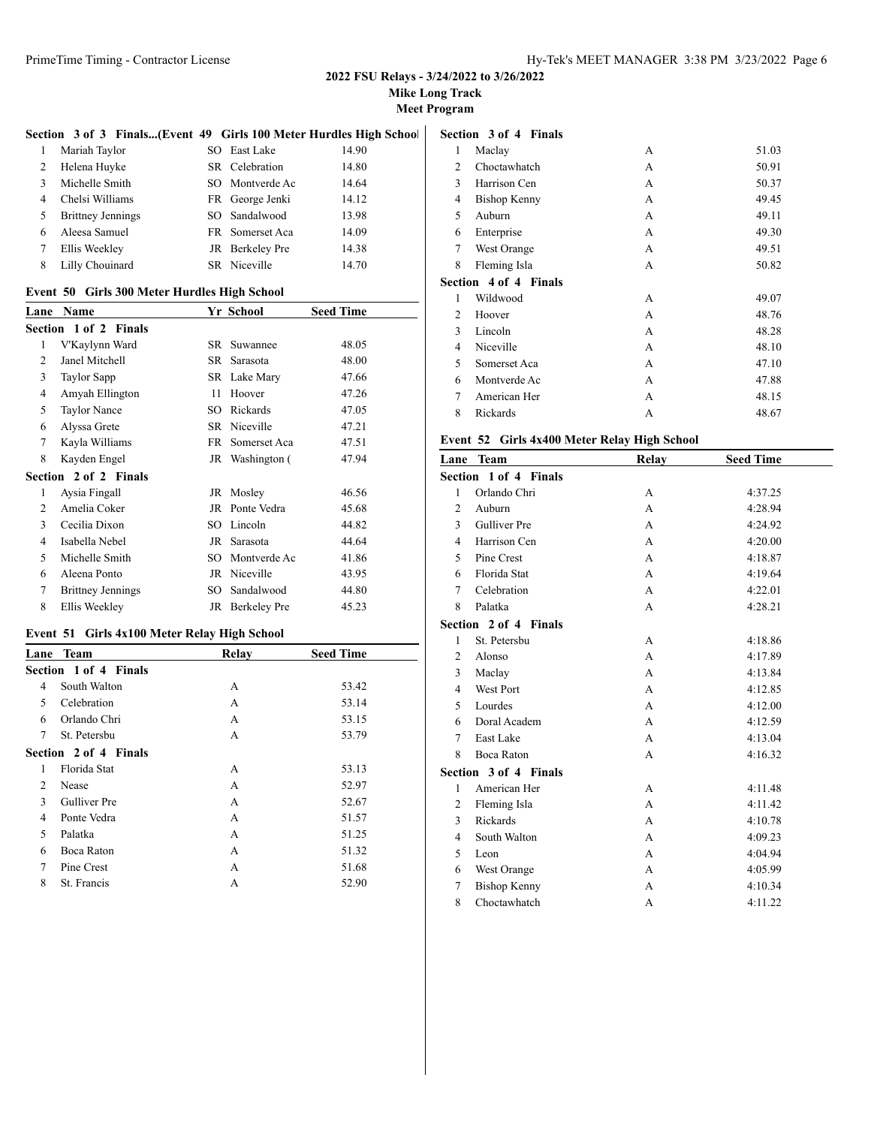**Mike Long Track**

**Meet Program**

#### **Section 3 of 3 Finals...(Event 49 Girls 100 Meter Hurdles High School) Section 3 of 4 Finals**

| $\mathbf{1}$   | Mariah Taylor            | SO East Lake    | 14.90 |
|----------------|--------------------------|-----------------|-------|
| 2              | Helena Huyke             | SR Celebration  | 14.80 |
| $\mathcal{R}$  | Michelle Smith           | SO Montverde Ac | 14.64 |
| $\overline{4}$ | Chelsi Williams          | FR George Jenki | 14.12 |
| .5             | <b>Brittney Jennings</b> | SO Sandalwood   | 13.98 |
| 6              | Aleesa Samuel            | FR Somerset Aca | 14.09 |
| 7              | Ellis Weekley            | JR Berkeley Pre | 14.38 |
| 8              | Lilly Chouinard          | SR Niceville    | 14.70 |

### **Event 50 Girls 300 Meter Hurdles High School**

| Lane | <b>Name</b>                  |     | Yr School       | <b>Seed Time</b> |
|------|------------------------------|-----|-----------------|------------------|
|      | <b>Section 1 of 2 Finals</b> |     |                 |                  |
| 1    | V'Kaylynn Ward               | SR. | Suwannee        | 48.05            |
| 2    | Janel Mitchell               | SR  | Sarasota        | 48.00            |
| 3    | <b>Taylor Sapp</b>           |     | SR Lake Mary    | 47.66            |
| 4    | Amyah Ellington              | 11  | Hoover          | 47.26            |
| 5    | <b>Taylor Nance</b>          | SО  | Rickards        | 47.05            |
| 6    | Alyssa Grete                 |     | SR Niceville    | 47.21            |
| 7    | Kayla Williams               | FR. | Somerset Aca    | 47.51            |
| 8    | Kayden Engel                 |     | JR Washington ( | 47.94            |
|      | Section 2 of 2 Finals        |     |                 |                  |
| 1    | Aysia Fingall                |     | JR Mosley       | 46.56            |
| 2    | Amelia Coker                 | JR  | Ponte Vedra     | 45.68            |
| 3    | Cecilia Dixon                | SО  | Lincoln         | 44.82            |
| 4    | Isabella Nebel               | JR  | Sarasota        | 44.64            |
| 5    | Michelle Smith               | SO  | Montverde Ac    | 41.86            |
| 6    | Aleena Ponto                 | JR  | Niceville       | 43.95            |
| 7    | <b>Brittney Jennings</b>     | SO  | Sandalwood      | 44.80            |
| 8    | Ellis Weekley                |     | JR Berkeley Pre | 45.23            |

# **Event 51 Girls 4x100 Meter Relay High School**

| Lane | Team                  | Relay | <b>Seed Time</b> |
|------|-----------------------|-------|------------------|
|      | Section 1 of 4 Finals |       |                  |
| 4    | South Walton          | A     | 53.42            |
| 5    | Celebration           | A     | 53.14            |
| 6    | Orlando Chri          | A     | 53.15            |
| 7    | St. Petersbu          | A     | 53.79            |
|      | Section 2 of 4 Finals |       |                  |
| 1    | Florida Stat          | A     | 53.13            |
| 2    | Nease                 | A     | 52.97            |
| 3    | Gulliver Pre          | A     | 52.67            |
| 4    | Ponte Vedra           | A     | 51.57            |
| 5    | Palatka               | A     | 51.25            |
| 6    | Boca Raton            | A     | 51.32            |
| 7    | Pine Crest            | A     | 51.68            |
| 8    | St. Francis           | А     | 52.90            |
|      |                       |       |                  |

| 1 | Maclay                | А | 51.03 |
|---|-----------------------|---|-------|
| 2 | Choctawhatch          | А | 50.91 |
| 3 | Harrison Cen          | А | 50.37 |
| 4 | <b>Bishop Kenny</b>   | А | 49.45 |
| 5 | Auburn                | А | 49.11 |
| 6 | Enterprise            | А | 49.30 |
| 7 | West Orange           | А | 49.51 |
| 8 | Fleming Isla          | А | 50.82 |
|   | Section 4 of 4 Finals |   |       |
| 1 | Wildwood              | А | 49.07 |
|   |                       |   |       |
| 2 | Hoover                | А | 48.76 |
| 3 | Lincoln               | А | 48.28 |
| 4 | Niceville             | А | 48.10 |
| 5 | Somerset Aca          | А | 47.10 |
| 6 | Montverde Ac          | А | 47.88 |
| 7 | American Her          | A | 48.15 |

# **Event 52 Girls 4x400 Meter Relay High School**

| Lane           | <b>Team</b>           | Relay | <b>Seed Time</b> |
|----------------|-----------------------|-------|------------------|
|                | Section 1 of 4 Finals |       |                  |
| 1              | Orlando Chri          | A     | 4:37.25          |
| $\overline{2}$ | Auburn                | A     | 4:28.94          |
| 3              | <b>Gulliver Pre</b>   | A     | 4:24.92          |
| $\overline{4}$ | Harrison Cen          | A     | 4:20.00          |
| 5              | Pine Crest            | A     | 4:18.87          |
| 6              | Florida Stat          | A     | 4:19.64          |
| $\tau$         | Celebration           | A     | 4:22.01          |
| 8              | Palatka               | A     | 4:28.21          |
|                | Section 2 of 4 Finals |       |                  |
| 1              | St. Petersbu          | А     | 4:18.86          |
| $\overline{c}$ | Alonso                | A     | 4:17.89          |
| 3              | Maclay                | A     | 4:13.84          |
| 4              | <b>West Port</b>      | A     | 4:12.85          |
| 5              | Lourdes               | A     | 4:12.00          |
| 6              | Doral Academ          | A     | 4:12.59          |
| 7              | East Lake             | A     | 4:13.04          |
| 8              | Boca Raton            | A     | 4:16.32          |
|                | Section 3 of 4 Finals |       |                  |
| 1              | American Her          | A     | 4:11.48          |
| 2              | Fleming Isla          | A     | 4:11.42          |
| 3              | Rickards              | A     | 4:10.78          |
| $\overline{4}$ | South Walton          | A     | 4:09.23          |
| 5              | Leon                  | A     | 4:04.94          |
| 6              | West Orange           | A     | 4:05.99          |
| 7              | <b>Bishop Kenny</b>   | A     | 4:10.34          |
| 8              | Choctawhatch          | A     | 4:11.22          |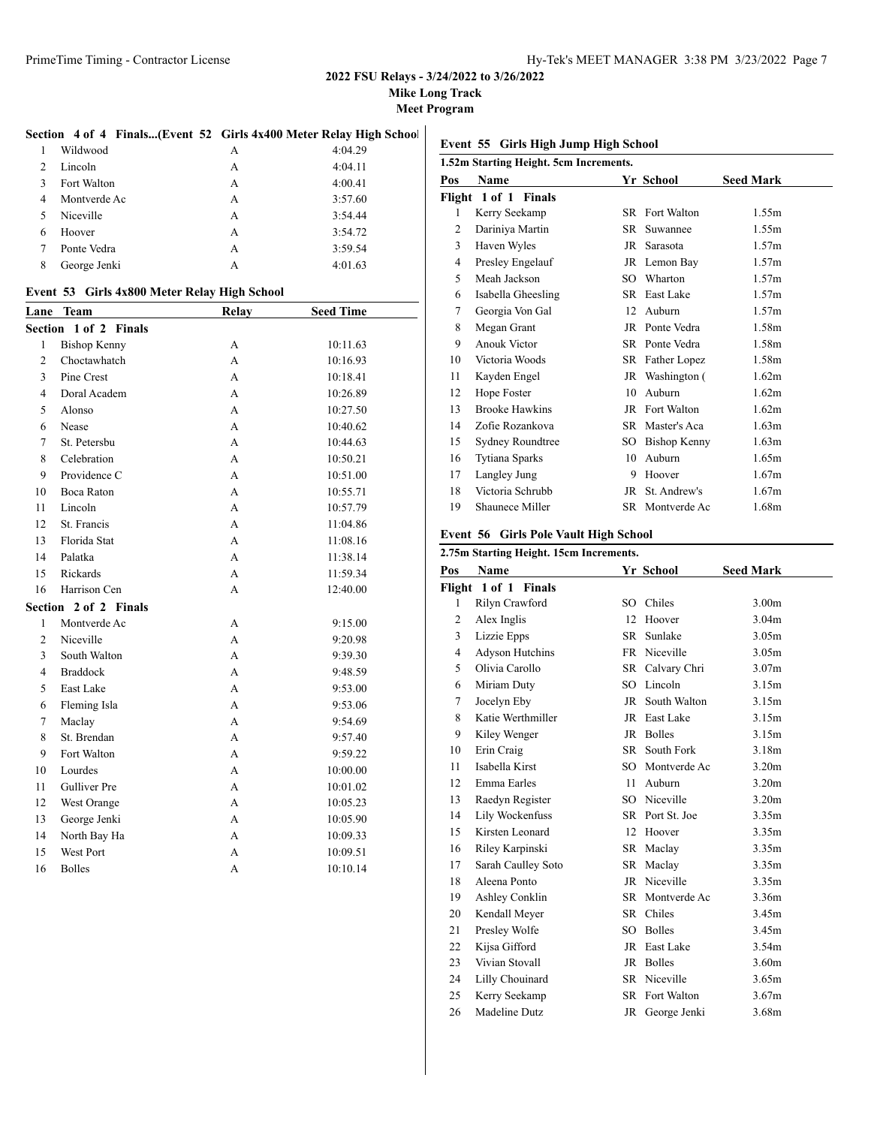**Mike Long Track**

**Meet Program**

#### **Section 4 of 4 Finals...(Event 52 Girls 4x400 Meter Relay High School)**

|                | Wildwood     | А | 4:04.29 |
|----------------|--------------|---|---------|
| $\overline{c}$ | Lincoln      | А | 4:04.11 |
| 3              | Fort Walton  | A | 4:00.41 |
| 4              | Montverde Ac | А | 3:57.60 |
| 5              | Niceville    | A | 3:54.44 |
| 6              | Hoover       | A | 3:54.72 |
|                | Ponte Vedra  | А | 3:59.54 |
| 8              | George Jenki | А | 4:01.63 |

#### **Event 53 Girls 4x800 Meter Relay High School**

| Lane           | <b>Team</b>         | <b>Relay</b> | <b>Seed Time</b> |
|----------------|---------------------|--------------|------------------|
| Section        | 1 of 2 Finals       |              |                  |
| 1              | <b>Bishop Kenny</b> | А            | 10:11.63         |
| $\overline{c}$ | Choctawhatch        | A            | 10:16.93         |
| 3              | Pine Crest          | A            | 10:18.41         |
| 4              | Doral Academ        | A            | 10:26.89         |
| 5              | Alonso              | A            | 10:27.50         |
| 6              | Nease               | A            | 10:40.62         |
| $\overline{7}$ | St. Petersbu        | A            | 10:44.63         |
| 8              | Celebration         | A            | 10:50.21         |
| 9              | Providence C        | A            | 10:51.00         |
| 10             | Boca Raton          | A            | 10:55.71         |
| 11             | Lincoln             | A            | 10:57.79         |
| 12             | St. Francis         | A            | 11:04.86         |
| 13             | Florida Stat        | A            | 11:08.16         |
| 14             | Palatka             | A            | 11:38.14         |
| 15             | Rickards            | А            | 11:59.34         |
| 16             | Harrison Cen        | A            | 12:40.00         |
| Section        | 2 of 2 Finals       |              |                  |
| $\mathbf{1}$   | Montverde Ac        | A            | 9:15.00          |
| $\overline{c}$ | Niceville           | A            | 9:20.98          |
| 3              | South Walton        | A            | 9:39.30          |
| $\overline{4}$ | <b>Braddock</b>     | A            | 9:48.59          |
| 5              | East Lake           | A            | 9:53.00          |
| 6              | Fleming Isla        | A            | 9:53.06          |
| $\overline{7}$ | Maclay              | A            | 9:54.69          |
| 8              | St. Brendan         | A            | 9:57.40          |
| 9              | Fort Walton         | A            | 9:59.22          |
| 10             | Lourdes             | A            | 10:00.00         |
| 11             | Gulliver Pre        | A            | 10:01.02         |
| 12             | West Orange         | A            | 10:05.23         |
| 13             | George Jenki        | A            | 10:05.90         |
| 14             | North Bay Ha        | A            | 10:09.33         |
| 15             | West Port           | A            | 10:09.51         |
| 16             | <b>Bolles</b>       | А            | 10:10.14         |

# **Event 55 Girls High Jump High School**

|     |                       |      |                 | 1.52m Starting Height. 5cm Increments. |  |  |  |  |  |
|-----|-----------------------|------|-----------------|----------------------------------------|--|--|--|--|--|
| Pos | Name                  |      | Yr School       | <b>Seed Mark</b>                       |  |  |  |  |  |
|     | Flight 1 of 1 Finals  |      |                 |                                        |  |  |  |  |  |
| 1   | Kerry Seekamp         |      | SR Fort Walton  | 1.55m                                  |  |  |  |  |  |
| 2   | Dariniya Martin       | SR   | Suwannee        | 1.55m                                  |  |  |  |  |  |
| 3   | Haven Wyles           | JR   | Sarasota        | 1.57m                                  |  |  |  |  |  |
| 4   | Presley Engelauf      |      | JR Lemon Bay    | 1.57m                                  |  |  |  |  |  |
| 5   | Meah Jackson          | SO.  | Wharton         | 1.57m                                  |  |  |  |  |  |
| 6   | Isabella Gheesling    | SR - | East Lake       | 1.57m                                  |  |  |  |  |  |
| 7   | Georgia Von Gal       | 12   | Auburn          | 1.57m                                  |  |  |  |  |  |
| 8   | Megan Grant           |      | JR Ponte Vedra  | 1.58m                                  |  |  |  |  |  |
| 9   | Anouk Victor          |      | SR Ponte Vedra  | 1.58m                                  |  |  |  |  |  |
| 10  | Victoria Woods        |      | SR Father Lopez | 1.58m                                  |  |  |  |  |  |
| 11  | Kayden Engel          |      | JR Washington ( | 1.62m                                  |  |  |  |  |  |
| 12  | Hope Foster           | 10   | Auburn          | 1.62m                                  |  |  |  |  |  |
| 13  | <b>Brooke Hawkins</b> |      | JR Fort Walton  | 1.62m                                  |  |  |  |  |  |
| 14  | Zofie Rozankova       | SR - | Master's Aca    | 1.63m                                  |  |  |  |  |  |
| 15  | Sydney Roundtree      | SO.  | Bishop Kenny    | 1.63m                                  |  |  |  |  |  |
| 16  | Tytiana Sparks        | 10   | Auburn          | 1.65m                                  |  |  |  |  |  |
| 17  | Langley Jung          | 9    | Hoover          | 1.67m                                  |  |  |  |  |  |
| 18  | Victoria Schrubb      | JR   | St. Andrew's    | 1.67m                                  |  |  |  |  |  |
| 19  | Shaunece Miller       |      | SR Montverde Ac | 1.68m                                  |  |  |  |  |  |

# **Event 56 Girls Pole Vault High School**

|                | 2.75m Starting Height. 15cm Increments. |     |                 |                   |  |  |
|----------------|-----------------------------------------|-----|-----------------|-------------------|--|--|
| Pos            | <b>Name</b>                             |     | Yr School       | <b>Seed Mark</b>  |  |  |
|                | Flight 1 of 1 Finals                    |     |                 |                   |  |  |
| 1              | Rilyn Crawford                          | SO. | Chiles          | 3.00 <sub>m</sub> |  |  |
| 2              | Alex Inglis                             | 12  | Hoover          | 3.04m             |  |  |
| 3              | Lizzie Epps                             | SR. | Sunlake         | 3.05m             |  |  |
| $\overline{4}$ | <b>Adyson Hutchins</b>                  |     | FR Niceville    | 3.05m             |  |  |
| 5              | Olivia Carollo                          |     | SR Calvary Chri | 3.07 <sub>m</sub> |  |  |
| 6              | Miriam Duty                             |     | SO Lincoln      | 3.15m             |  |  |
| $\tau$         | Jocelyn Eby                             |     | JR South Walton | 3.15m             |  |  |
| 8              | Katie Werthmiller                       |     | JR East Lake    | 3.15m             |  |  |
| 9              | Kiley Wenger                            |     | JR Bolles       | 3.15m             |  |  |
| 10             | Erin Craig                              |     | SR South Fork   | 3.18 <sub>m</sub> |  |  |
| 11             | Isabella Kirst                          |     | SO Montverde Ac | 3.20 <sub>m</sub> |  |  |
| 12             | Emma Earles                             | 11  | Auburn          | 3.20 <sub>m</sub> |  |  |
| 13             | Raedyn Register                         |     | SO Niceville    | 3.20 <sub>m</sub> |  |  |
| 14             | Lily Wockenfuss                         |     | SR Port St. Joe | 3.35m             |  |  |
| 15             | Kirsten Leonard                         | 12  | Hoover          | 3.35m             |  |  |
| 16             | Riley Karpinski                         |     | SR Maclay       | 3.35 <sub>m</sub> |  |  |
| 17             | Sarah Caulley Soto                      |     | SR Maclay       | 3.35m             |  |  |
| 18             | Aleena Ponto                            |     | JR Niceville    | 3.35m             |  |  |
| 19             | Ashley Conklin                          |     | SR Montverde Ac | 3.36m             |  |  |
| 20             | Kendall Meyer                           | SR  | Chiles          | 3.45m             |  |  |
| 21             | Presley Wolfe                           |     | SO Bolles       | 3.45m             |  |  |
| 22             | Kijsa Gifford                           |     | JR East Lake    | 3.54m             |  |  |
| 23             | Vivian Stovall                          | JR  | <b>Bolles</b>   | 3.60 <sub>m</sub> |  |  |
| 24             | Lilly Chouinard                         | SR  | Niceville       | 3.65m             |  |  |
| 25             | Kerry Seekamp                           |     | SR Fort Walton  | 3.67m             |  |  |
| 26             | Madeline Dutz                           |     | JR George Jenki | 3.68m             |  |  |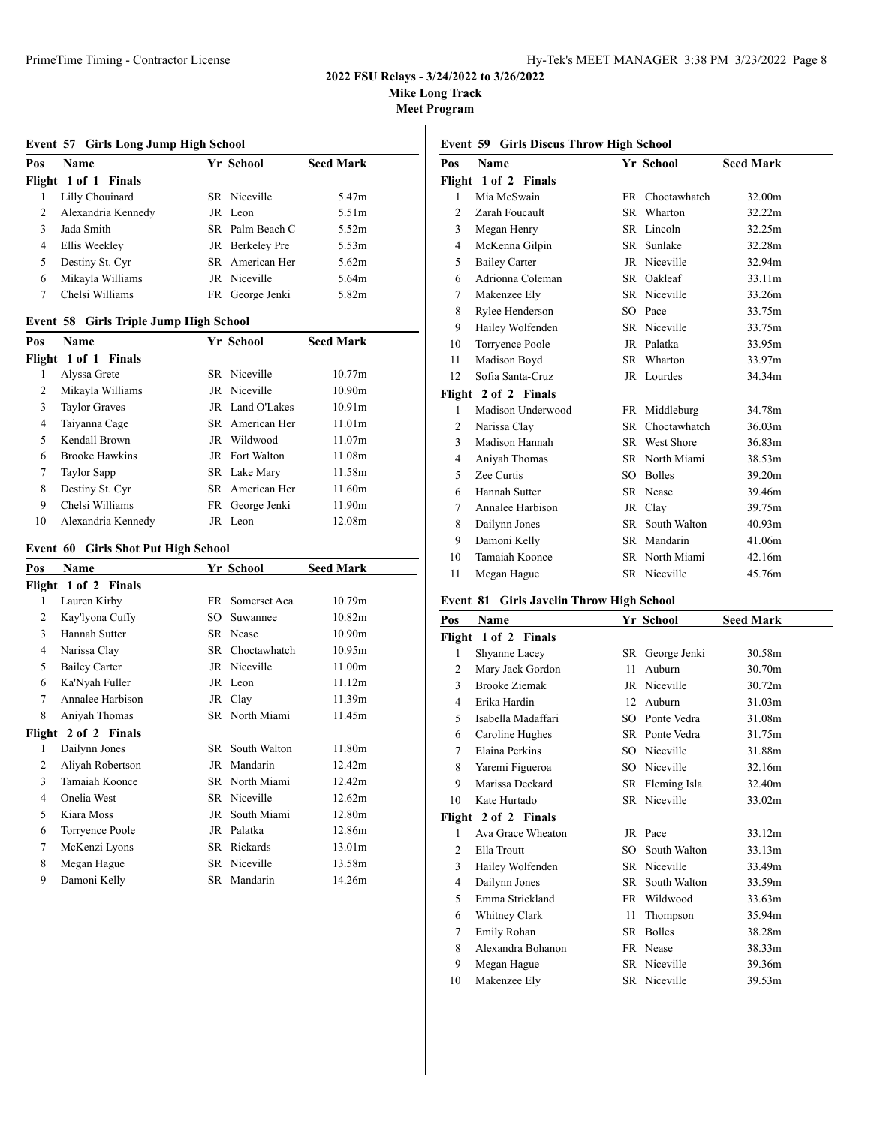**Mike Long Track**

**Meet Program**

# **Event 57 Girls Long Jump High School**

| Pos | Name                 |     | Yr School       | <b>Seed Mark</b>  |
|-----|----------------------|-----|-----------------|-------------------|
|     | Flight 1 of 1 Finals |     |                 |                   |
|     | Lilly Chouinard      |     | SR Niceville    | 5.47m             |
| 2   | Alexandria Kennedy   |     | JR Leon         | 5.51 <sub>m</sub> |
| 3   | Jada Smith           |     | SR Palm Beach C | 5.52m             |
| 4   | Ellis Weekley        |     | JR Berkelev Pre | 5.53m             |
| 5   | Destiny St. Cyr      |     | SR American Her | 5.62m             |
| 6   | Mikayla Williams     |     | JR Niceville    | 5.64m             |
|     | Chelsi Williams      | FR. | George Jenki    | 5.82m             |

### **Event 58 Girls Triple Jump High School**

| Pos | <b>Name</b>           | Yr School             | <b>Seed Mark</b>   |
|-----|-----------------------|-----------------------|--------------------|
|     | Flight 1 of 1 Finals  |                       |                    |
| 1   | Alyssa Grete          | SR Niceville          | 10.77m             |
| 2   | Mikayla Williams      | JR Niceville          | 10.90 <sub>m</sub> |
| 3   | <b>Taylor Graves</b>  | JR Land O'Lakes       | 10.91 <sub>m</sub> |
| 4   | Taiyanna Cage         | SR American Her       | 11.01m             |
| 5   | Kendall Brown         | JR Wildwood           | 11.07m             |
| 6   | <b>Brooke Hawkins</b> | <b>JR</b> Fort Walton | 11.08m             |
| 7   | Taylor Sapp           | SR Lake Mary          | 11.58m             |
| 8   | Destiny St. Cyr       | SR American Her       | 11.60m             |
| 9   | Chelsi Williams       | FR George Jenki       | 11.90m             |
| 10  | Alexandria Kennedy    | JR Leon               | 12.08m             |

### **Event 60 Girls Shot Put High School**

| Name                 |     |              | <b>Seed Mark</b>                                                                                                           |
|----------------------|-----|--------------|----------------------------------------------------------------------------------------------------------------------------|
| Flight 1 of 2 Finals |     |              |                                                                                                                            |
| Lauren Kirby         | FR. | Somerset Aca | 10.79 <sub>m</sub>                                                                                                         |
| Kay'lyona Cuffy      | SO  | Suwannee     | 10.82m                                                                                                                     |
| Hannah Sutter        |     |              | 10.90m                                                                                                                     |
| Narissa Clay         | SR  | Choctawhatch | 10.95m                                                                                                                     |
| <b>Bailey Carter</b> | JR  | Niceville    | 11.00m                                                                                                                     |
| Ka'Nyah Fuller       |     |              | 11.12m                                                                                                                     |
| Annalee Harbison     |     |              | 11.39m                                                                                                                     |
| Aniyah Thomas        |     |              | 11.45m                                                                                                                     |
| Flight 2 of 2 Finals |     |              |                                                                                                                            |
| Dailynn Jones        |     | South Walton | 11.80m                                                                                                                     |
| Aliyah Robertson     | JR  | Mandarin     | 12.42m                                                                                                                     |
| Tamaiah Koonce       |     |              | 12.42m                                                                                                                     |
| Onelia West          |     |              | 12.62m                                                                                                                     |
| Kiara Moss           | JR  | South Miami  | 12.80m                                                                                                                     |
| Torryence Poole      | JR  | Palatka      | 12.86m                                                                                                                     |
| McKenzi Lyons        |     |              | 13.01m                                                                                                                     |
| Megan Hague          | SR  | Niceville    | 13.58m                                                                                                                     |
| Damoni Kelly         | SR. | Mandarin     | 14.26m                                                                                                                     |
|                      |     |              | Yr School<br>SR Nease<br>JR Leon<br>JR Clay<br>SR North Miami<br>SR –<br>SR North Miami<br>SR.<br>Niceville<br>SR Rickards |

# **Event 59 Girls Discus Throw High School**

| Pos            | Name                 |      | Yr School              | <b>Seed Mark</b> |
|----------------|----------------------|------|------------------------|------------------|
|                | Flight 1 of 2 Finals |      |                        |                  |
| 1              | Mia McSwain          |      | FR Choctawhatch        | 32.00m           |
| $\overline{2}$ | Zarah Foucault       |      | SR Wharton             | 32.22m           |
| 3              | Megan Henry          |      | SR Lincoln             | 32.25m           |
| 4              | McKenna Gilpin       |      | SR Sunlake             | 32.28m           |
| 5              | <b>Bailey Carter</b> |      | JR Niceville           | 32.94m           |
| 6              | Adrionna Coleman     |      | SR Oakleaf             | 33.11m           |
| 7              | Makenzee Ely         |      | SR Niceville           | 33.26m           |
| 8              | Rylee Henderson      |      | SO Pace                | 33.75m           |
| 9              | Hailey Wolfenden     |      | SR Niceville           | 33.75m           |
| 10             | Torryence Poole      |      | JR Palatka             | 33.95m           |
| 11             | Madison Boyd         |      | SR Wharton             | 33.97m           |
| 12             | Sofia Santa-Cruz     |      | JR Lourdes             | 34.34m           |
|                | Flight 2 of 2 Finals |      |                        |                  |
| 1              | Madison Underwood    |      | FR Middleburg          | 34.78m           |
| 2              | Narissa Clay         | SR - | Choctawhatch           | 36.03m           |
| 3              | Madison Hannah       |      | SR West Shore          | 36.83m           |
| 4              | Aniyah Thomas        |      | SR North Miami         | 38.53m           |
| 5              | Zee Curtis           | SO.  | <b>Bolles</b>          | 39.20m           |
| 6              | Hannah Sutter        |      | SR Nease               | 39.46m           |
| 7              | Annalee Harbison     |      | JR Clay                | 39.75m           |
| 8              | Dailynn Jones        |      | <b>SR</b> South Walton | 40.93m           |
| 9              | Damoni Kelly         |      | SR Mandarin            | 41.06m           |
| 10             | Tamaiah Koonce       |      | SR North Miami         | 42.16m           |
| 11             | Megan Hague          |      | SR Niceville           | 45.76m           |

#### **Event 81 Girls Javelin Throw High School**

| Pos | Name                 |      | Yr School       | <b>Seed Mark</b> |
|-----|----------------------|------|-----------------|------------------|
|     | Flight 1 of 2 Finals |      |                 |                  |
| 1   | Shyanne Lacey        | SR   | George Jenki    | 30.58m           |
| 2   | Mary Jack Gordon     | 11   | Auburn          | 30.70m           |
| 3   | <b>Brooke Ziemak</b> |      | JR Niceville    | 30.72m           |
| 4   | Erika Hardin         | 12   | Auburn          | 31.03m           |
| 5   | Isabella Madaffari   | SO.  | Ponte Vedra     | 31.08m           |
| 6   | Caroline Hughes      |      | SR Ponte Vedra  | 31.75m           |
| 7   | Elaina Perkins       |      | SO Niceville    | 31.88m           |
| 8   | Yaremi Figueroa      | SO.  | Niceville       | 32.16m           |
| 9   | Marissa Deckard      |      | SR Fleming Isla | 32.40m           |
| 10  | Kate Hurtado         |      | SR Niceville    | 33.02m           |
|     | Flight 2 of 2 Finals |      |                 |                  |
| 1   | Ava Grace Wheaton    |      | JR Pace         | 33.12m           |
| 2   | Ella Troutt          | SO   | South Walton    | 33.13m           |
| 3   | Hailey Wolfenden     |      | SR Niceville    | 33.49m           |
| 4   | Dailynn Jones        | SR - | South Walton    | 33.59m           |
| 5   | Emma Strickland      | FR   | Wildwood        | 33.63m           |
| 6   | Whitney Clark        | 11   | Thompson        | 35.94m           |
| 7   | Emily Rohan          | SR   | <b>Bolles</b>   | 38.28m           |
| 8   | Alexandra Bohanon    |      | FR Nease        | 38.33m           |
| 9   | Megan Hague          |      | SR Niceville    | 39.36m           |
| 10  | Makenzee Elv         |      | SR Niceville    | 39.53m           |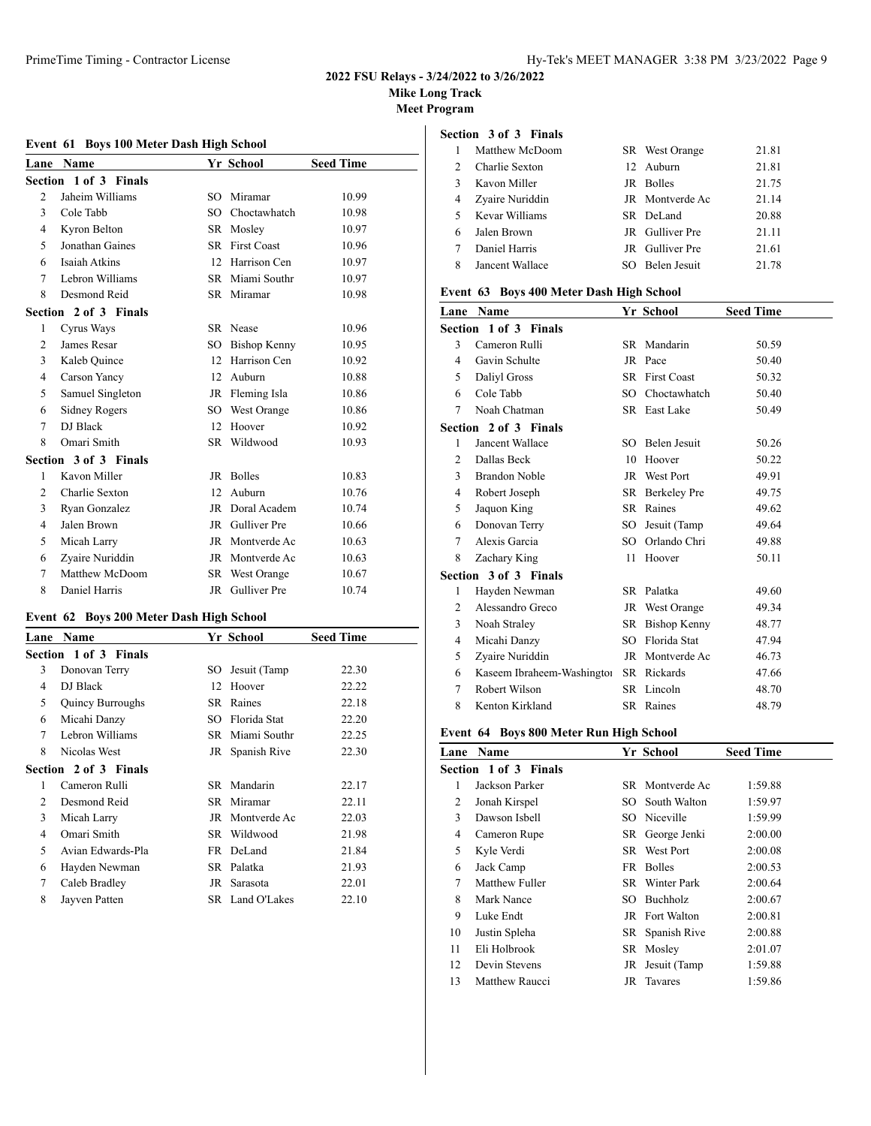# **Mike Long Track**

**Meet Program**

# **Event 61 Boys 100 Meter Dash High School**

| Lane           | <b>Name</b>           |           | Yr School           | <b>Seed Time</b> |
|----------------|-----------------------|-----------|---------------------|------------------|
| Section        | 1 of 3 Finals         |           |                     |                  |
| $\overline{c}$ | Jaheim Williams       | SO.       | Miramar             | 10.99            |
| 3              | Cole Tabb             | SO.       | Choctawhatch        | 10.98            |
| 4              | Kyron Belton          | SR.       | Mosley              | 10.97            |
| 5              | Jonathan Gaines       | SR.       | <b>First Coast</b>  | 10.96            |
| 6              | Isaiah Atkins         | 12        | Harrison Cen        | 10.97            |
| 7              | Lebron Williams       |           | SR Miami Southr     | 10.97            |
| 8              | Desmond Reid          |           | SR Miramar          | 10.98            |
|                | Section 2 of 3 Finals |           |                     |                  |
| 1              | Cyrus Ways            |           | SR Nease            | 10.96            |
| $\mathfrak{D}$ | James Resar           | SO        | Bishop Kenny        | 10.95            |
| 3              | Kaleb Quince          | 12        | Harrison Cen        | 10.92            |
| 4              | Carson Yancy          | 12        | Auburn              | 10.88            |
| 5              | Samuel Singleton      |           | JR Fleming Isla     | 10.86            |
| 6              | Sidney Rogers         | SO        | <b>West Orange</b>  | 10.86            |
| 7              | DJ Black              | 12        | Hoover              | 10.92            |
| 8              | Omari Smith           | <b>SR</b> | Wildwood            | 10.93            |
|                | Section 3 of 3 Finals |           |                     |                  |
| 1              | Kavon Miller          | JR        | <b>Bolles</b>       | 10.83            |
| 2              | Charlie Sexton        | 12        | Auburn              | 10.76            |
| 3              | Ryan Gonzalez         | JR        | Doral Academ        | 10.74            |
| 4              | Jalen Brown           | JR        | <b>Gulliver</b> Pre | 10.66            |
| 5              | Micah Larry           | JR        | Montverde Ac        | 10.63            |
| 6              | Zyaire Nuriddin       | JR        | Montverde Ac        | 10.63            |
| 7              | Matthew McDoom        | SR        | <b>West Orange</b>  | 10.67            |
| 8              | Daniel Harris         | JR        | Gulliver Pre        | 10.74            |

# **Event 62 Boys 200 Meter Dash High School**

| Lane | Name                  |     | Yr School       | <b>Seed Time</b> |
|------|-----------------------|-----|-----------------|------------------|
|      | Section 1 of 3 Finals |     |                 |                  |
| 3    | Donovan Terry         |     | SO Jesuit (Tamp | 22.30            |
| 4    | DJ Black              | 12  | Hoover          | 22.22            |
| 5    | Quincy Burroughs      | SR. | Raines          | 22.18            |
| 6    | Micahi Danzy          | SO  | Florida Stat    | 22.20            |
| 7    | Lebron Williams       |     | SR Miami Southr | 22.25            |
| 8    | Nicolas West          |     | JR Spanish Rive | 22.30            |
|      | Section 2 of 3 Finals |     |                 |                  |
| 1    | Cameron Rulli         |     | SR Mandarin     | 22.17            |
| 2    | Desmond Reid          | SR. | Miramar         | 22.11            |
| 3    | Micah Larry           | JR  | Montverde Ac    | 22.03            |
| 4    | Omari Smith           |     | SR Wildwood     | 21.98            |
| 5    | Avian Edwards-Pla     |     | FR DeLand       | 21.84            |
| 6    | Hayden Newman         |     | SR Palatka      | 21.93            |
| 7    | Caleb Bradley         |     | JR Sarasota     | 22.01            |
| 8    | Jayven Patten         |     | SR Land O'Lakes | 22.10            |
|      |                       |     |                 |                  |

# **Section 3 of 3 Finals**

|   | Matthew McDoom  | SR West Orange  | 21.81 |
|---|-----------------|-----------------|-------|
|   | Charlie Sexton  | 12 Auburn       | 21.81 |
|   | Kavon Miller    | JR Bolles       | 21.75 |
|   | Zyaire Nuriddin | JR Montverde Ac | 21.14 |
| 5 | Kevar Williams  | SR DeLand       | 20.88 |
| 6 | Jalen Brown     | JR Gulliver Pre | 21.11 |
|   | Daniel Harris   | JR Gulliver Pre | 21.61 |
| 8 | Jancent Wallace | SO Belen Jesuit | 21.78 |

### **Event 63 Boys 400 Meter Dash High School**

| Lane                  | <b>Name</b>                |     | Yr School           | <b>Seed Time</b> |  |
|-----------------------|----------------------------|-----|---------------------|------------------|--|
|                       | Section 1 of 3 Finals      |     |                     |                  |  |
| 3                     | Cameron Rulli              |     | SR Mandarin         | 50.59            |  |
| 4                     | Gavin Schulte              | JR  | Pace                | 50.40            |  |
| 5                     | Daliyl Gross               |     | SR First Coast      | 50.32            |  |
| 6                     | Cole Tabb                  | SO. | Choctawhatch        | 50.40            |  |
| 7                     | Noah Chatman               |     | SR East Lake        | 50.49            |  |
| Section 2 of 3 Finals |                            |     |                     |                  |  |
| 1                     | Jancent Wallace            | SO. | <b>Belen Jesuit</b> | 50.26            |  |
| 2                     | Dallas Beck                | 10  | Hoover              | 50.22            |  |
| 3                     | Brandon Noble              |     | <b>JR</b> West Port | 49.91            |  |
| 4                     | Robert Joseph              | SR  | <b>Berkeley Pre</b> | 49.75            |  |
| 5                     | Jaquon King                | SR  | Raines              | 49.62            |  |
| 6                     | Donovan Terry              | SO. | Jesuit (Tamp        | 49.64            |  |
| 7                     | Alexis Garcia              | SO. | Orlando Chri        | 49.88            |  |
| 8                     | Zachary King               | 11  | Hoover              | 50.11            |  |
|                       | Section 3 of 3 Finals      |     |                     |                  |  |
| 1                     | Hayden Newman              |     | SR Palatka          | 49.60            |  |
| 2                     | Alessandro Greco           |     | JR West Orange      | 49.34            |  |
| 3                     | Noah Straley               | SR  | <b>Bishop Kenny</b> | 48.77            |  |
| 4                     | Micahi Danzy               | SO. | Florida Stat        | 47.94            |  |
| 5                     | Zyaire Nuriddin            | JR  | Montverde Ac        | 46.73            |  |
| 6                     | Kaseem Ibraheem-Washingtor |     | SR Rickards         | 47.66            |  |
| 7                     | Robert Wilson              |     | SR Lincoln          | 48.70            |  |
| 8                     | Kenton Kirkland            |     | SR Raines           | 48.79            |  |

#### **Event 64 Boys 800 Meter Run High School**

| Lane | <b>Name</b>           |     | Yr School       | <b>Seed Time</b> |
|------|-----------------------|-----|-----------------|------------------|
|      | Section 1 of 3 Finals |     |                 |                  |
| 1    | Jackson Parker        |     | SR Montverde Ac | 1:59.88          |
| 2    | Jonah Kirspel         |     | SO South Walton | 1:59.97          |
| 3    | Dawson Isbell         |     | SO Niceville    | 1:59.99          |
| 4    | Cameron Rupe          |     | SR George Jenki | 2:00.00          |
| 5    | Kyle Verdi            |     | SR West Port    | 2:00.08          |
| 6    | Jack Camp             |     | FR Bolles       | 2:00.53          |
| 7    | Matthew Fuller        |     | SR Winter Park  | 2:00.64          |
| 8    | Mark Nance            | SO. | Buchholz        | 2:00.67          |
| 9    | Luke Endt             |     | JR Fort Walton  | 2:00.81          |
| 10   | Justin Spleha         |     | SR Spanish Rive | 2:00.88          |
| 11   | Eli Holbrook          |     | SR Moslev       | 2:01.07          |
| 12   | Devin Stevens         |     | JR Jesuit (Tamp | 1:59.88          |
| 13   | Matthew Raucci        |     | JR Tavares      | 1:59.86          |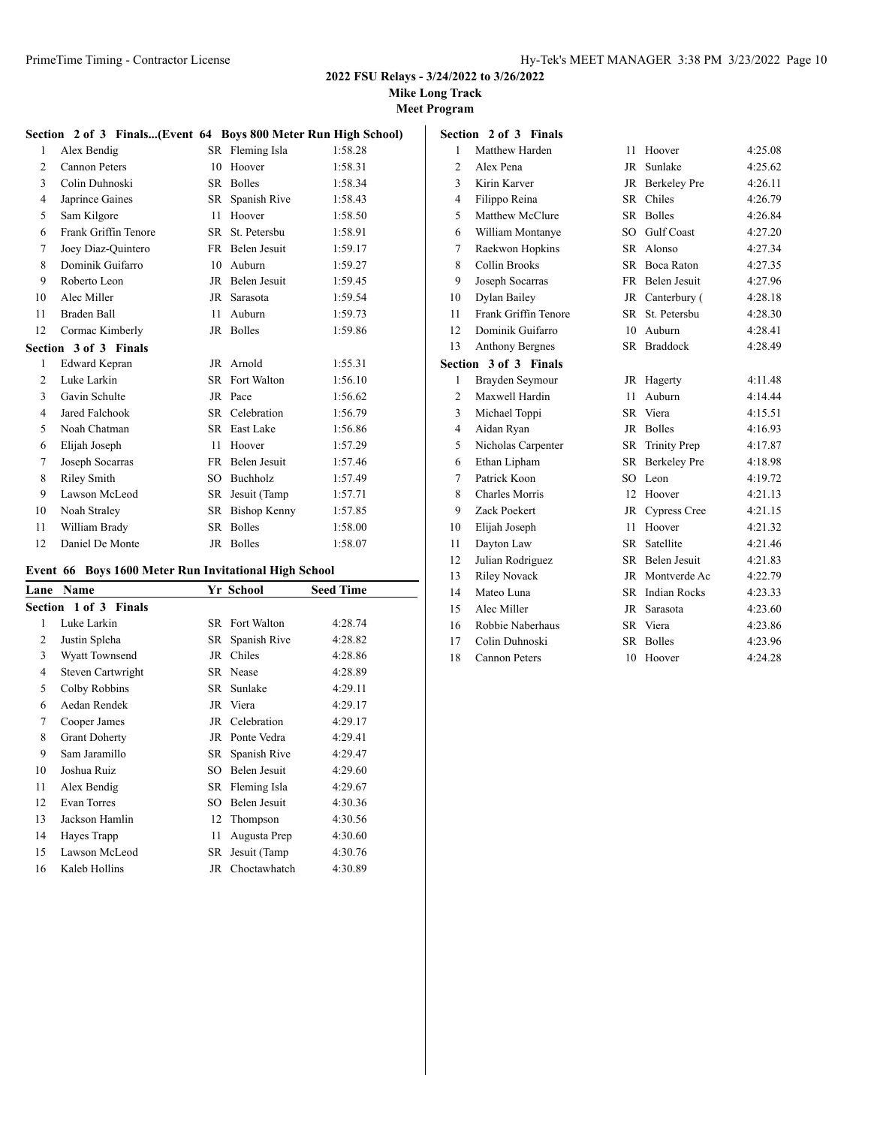**Mike Long Track**

|                |                                                                |    |                       | <b>Mike</b><br>Mee |  |  |
|----------------|----------------------------------------------------------------|----|-----------------------|--------------------|--|--|
|                | Section 2 of 3 Finals(Event 64 Boys 800 Meter Run High School) |    |                       |                    |  |  |
| 1              | Alex Bendig                                                    |    | SR Fleming Isla       | 1:58.28            |  |  |
| $\overline{c}$ | <b>Cannon Peters</b>                                           | 10 | Hoover                | 1:58.31            |  |  |
| 3              | Colin Duhnoski                                                 |    | SR Bolles             | 1:58.34            |  |  |
| 4              | Japrince Gaines                                                |    | SR Spanish Rive       | 1:58.43            |  |  |
| 5              | Sam Kilgore                                                    | 11 | Hoover                | 1:58.50            |  |  |
| 6              | Frank Griffin Tenore                                           |    | SR St. Petersbu       | 1:58.91            |  |  |
| 7              | Joey Diaz-Quintero                                             |    | FR Belen Jesuit       | 1:59.17            |  |  |
| 8              | Dominik Guifarro                                               |    | 10 Auburn             | 1:59.27            |  |  |
| 9              | Roberto Leon                                                   |    | JR Belen Jesuit       | 1:59.45            |  |  |
| 10             | Alec Miller                                                    |    | JR Sarasota           | 1:59.54            |  |  |
| 11             | Braden Ball                                                    |    | 11 Auburn             | 1:59.73            |  |  |
| 12             | Cormac Kimberly                                                |    | JR Bolles             | 1:59.86            |  |  |
|                | Section 3 of 3 Finals                                          |    |                       |                    |  |  |
| 1              | Edward Kepran                                                  |    | JR Arnold             | 1:55.31            |  |  |
| $\mathfrak{D}$ | Luke Larkin                                                    |    | <b>SR</b> Fort Walton | 1:56.10            |  |  |
| 3              | Gavin Schulte                                                  |    | JR Pace               | 1:56.62            |  |  |
| 4              | Jared Falchook                                                 |    | SR Celebration        | 1:56.79            |  |  |
| 5              | Noah Chatman                                                   |    | SR East Lake          | 1:56.86            |  |  |
| 6              | Elijah Joseph                                                  |    | 11 Hoover             | 1:57.29            |  |  |
| 7              | Joseph Socarras                                                |    | FR Belen Jesuit       | 1:57.46            |  |  |
| 8              | <b>Riley Smith</b>                                             |    | SO Buchholz           | 1:57.49            |  |  |
| 9              | Lawson McLeod                                                  |    | SR Jesuit (Tamp       | 1:57.71            |  |  |
| 10             | Noah Straley                                                   |    | SR Bishop Kenny       | 1:57.85            |  |  |
| 11             | William Brady                                                  |    | SR Bolles             | 1:58.00            |  |  |
| 12             | Daniel De Monte                                                |    | JR Bolles             | 1:58.07            |  |  |
|                | Event 66 Boys 1600 Meter Run Invitational High School          |    |                       |                    |  |  |

| Lane | Name                  |     | Yr School             | <b>Seed Time</b> |
|------|-----------------------|-----|-----------------------|------------------|
|      | Section 1 of 3 Finals |     |                       |                  |
| 1    | Luke Larkin           |     | <b>SR</b> Fort Walton | 4:28.74          |
| 2    | Justin Spleha         |     | SR Spanish Rive       | 4:28.82          |
| 3    | <b>Wyatt Townsend</b> | JR  | Chiles                | 4:28.86          |
| 4    | Steven Cartwright     |     | SR Nease              | 4:28.89          |
| 5    | Colby Robbins         | SR  | Sunlake               | 4:29.11          |
| 6    | Aedan Rendek          |     | JR Viera              | 4:29.17          |
| 7    | Cooper James          |     | JR Celebration        | 4:29.17          |
| 8    | <b>Grant Doherty</b>  | JR  | Ponte Vedra           | 4:29.41          |
| 9    | Sam Jaramillo         | SR  | Spanish Rive          | 4:29.47          |
| 10   | Joshua Ruiz           | SO. | Belen Jesuit          | 4:29.60          |
| 11   | Alex Bendig           |     | SR Fleming Isla       | 4:29.67          |
| 12   | <b>Evan Torres</b>    | SO  | Belen Jesuit          | 4:30.36          |
| 13   | Jackson Hamlin        | 12  | Thompson              | 4:30.56          |
| 14   | Hayes Trapp           | 11  | Augusta Prep          | 4:30.60          |
| 15   | Lawson McLeod         | SR  | Jesuit (Tamp          | 4:30.76          |
| 16   | Kaleb Hollins         | JR  | Choctawhatch          | 4:30.89          |

|                | Section 2 of 3 Finals  |           |                     |         |
|----------------|------------------------|-----------|---------------------|---------|
| 1              | Matthew Harden         | 11        | Hoover              | 4:25.08 |
| $\overline{2}$ | Alex Pena              |           | JR Sunlake          | 4:25.62 |
| 3              | Kirin Karver           |           | JR Berkeley Pre     | 4:26.11 |
| $\overline{4}$ | Filippo Reina          | <b>SR</b> | Chiles              | 4:26.79 |
| 5              | Matthew McClure        | SR.       | <b>Bolles</b>       | 4:26.84 |
| 6              | William Montanye       | SO.       | <b>Gulf Coast</b>   | 4:27.20 |
| 7              | Raekwon Hopkins        | SR.       | Alonso              | 4:27.34 |
| 8              | <b>Collin Brooks</b>   | SR        | Boca Raton          | 4:27.35 |
| 9              | Joseph Socarras        |           | FR Belen Jesuit     | 4:27.96 |
| 10             | Dylan Bailey           |           | JR Canterbury (     | 4:28.18 |
| 11             | Frank Griffin Tenore   | SR        | St. Petersbu        | 4:28.30 |
| 12             | Dominik Guifarro       | 10        | Auburn              | 4:28.41 |
| 13             | <b>Anthony Bergnes</b> | SR.       | <b>Braddock</b>     | 4:28.49 |
|                | Section 3 of 3 Finals  |           |                     |         |
| 1              | Brayden Seymour        | JR        | Hagerty             | 4:11.48 |
| $\overline{2}$ | Maxwell Hardin         | 11        | Auburn              | 4:14.44 |
| 3              | Michael Toppi          |           | SR Viera            | 4:15.51 |
| $\overline{4}$ | Aidan Ryan             | JR        | <b>Bolles</b>       | 4:16.93 |
| 5              | Nicholas Carpenter     | SR        | <b>Trinity Prep</b> | 4:17.87 |
| 6              | Ethan Lipham           | <b>SR</b> | <b>Berkeley Pre</b> | 4:18.98 |
| 7              | Patrick Koon           | SO.       | Leon                | 4:19.72 |
| 8              | <b>Charles Morris</b>  | 12        | Hoover              | 4:21.13 |
| 9              | Zack Poekert           | <b>JR</b> | <b>Cypress Cree</b> | 4:21.15 |
| 10             | Elijah Joseph          | 11        | Hoover              | 4:21.32 |
| 11             | Dayton Law             | SR        | Satellite           | 4:21.46 |
| 12             | Julian Rodriguez       | <b>SR</b> | Belen Jesuit        | 4:21.83 |
| 13             | <b>Riley Novack</b>    | JR        | Montverde Ac        | 4:22.79 |
| 14             | Mateo Luna             | SR.       | <b>Indian Rocks</b> | 4:23.33 |
| 15             | Alec Miller            | <b>JR</b> | Sarasota            | 4:23.60 |
| 16             | Robbie Naberhaus       | <b>SR</b> | Viera               | 4:23.86 |
| 17             | Colin Duhnoski         | SR.       | <b>Bolles</b>       | 4:23.96 |
| 18             | <b>Cannon Peters</b>   | 10        | Hoover              | 4:24.28 |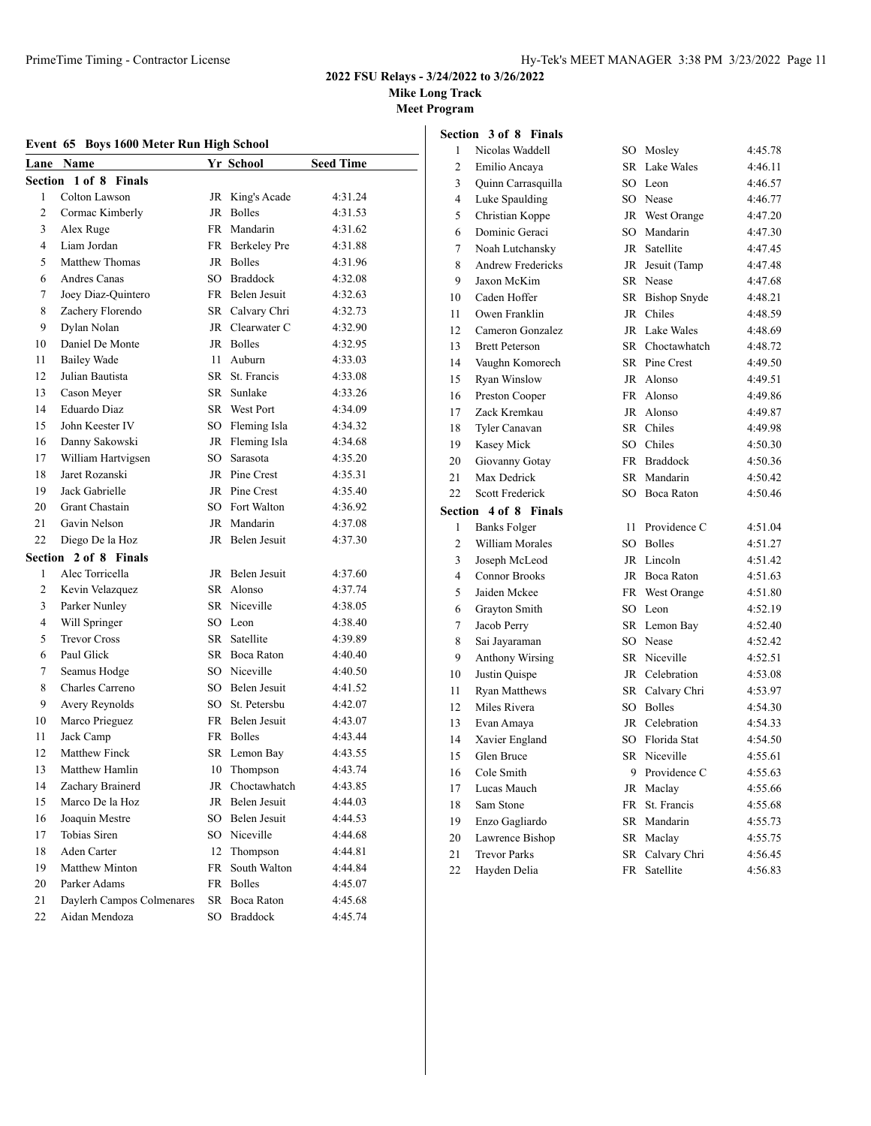**Mike Long Track**

**Meet Program**

# **Event 65 Boys 1600 Meter Run High School**

| Section 3 of 8 Finals |                   |  |  |
|-----------------------|-------------------|--|--|
|                       | 1 Nicolas Waddell |  |  |

| Lane           | <b>Name</b>               |    | Yr School       | <b>Seed Time</b> |
|----------------|---------------------------|----|-----------------|------------------|
|                | Section 1 of 8 Finals     |    |                 |                  |
| 1              | Colton Lawson             |    | JR King's Acade | 4:31.24          |
| 2              | Cormac Kimberly           |    | JR Bolles       | 4:31.53          |
| 3              | Alex Ruge                 |    | FR Mandarin     | 4:31.62          |
| 4              | Liam Jordan               |    | FR Berkeley Pre | 4:31.88          |
| 5              | <b>Matthew Thomas</b>     |    | JR Bolles       | 4:31.96          |
| 6              | Andres Canas              |    | SO Braddock     | 4:32.08          |
| 7              | Joey Diaz-Quintero        |    | FR Belen Jesuit | 4:32.63          |
| 8              | Zachery Florendo          |    | SR Calvary Chri | 4:32.73          |
| 9              | Dylan Nolan               |    | JR Clearwater C | 4:32.90          |
| 10             | Daniel De Monte           |    | JR Bolles       | 4:32.95          |
| 11             | <b>Bailey Wade</b>        | 11 | Auburn          | 4:33.03          |
| 12             | Julian Bautista           |    | SR St. Francis  | 4:33.08          |
| 13             | Cason Meyer               |    | SR Sunlake      | 4:33.26          |
| 14             | Eduardo Diaz              |    | SR West Port    | 4:34.09          |
| 15             | John Keester IV           |    | SO Fleming Isla | 4:34.32          |
| 16             | Danny Sakowski            |    | JR Fleming Isla | 4:34.68          |
| 17             | William Hartvigsen        | SO | Sarasota        | 4:35.20          |
| 18             | Jaret Rozanski            |    | JR Pine Crest   | 4:35.31          |
| 19             | Jack Gabrielle            |    | JR Pine Crest   | 4:35.40          |
| 20             | <b>Grant Chastain</b>     |    | SO Fort Walton  | 4:36.92          |
| 21             | Gavin Nelson              |    | JR Mandarin     | 4:37.08          |
| 22             | Diego De la Hoz           |    | JR Belen Jesuit | 4:37.30          |
|                | Section 2 of 8 Finals     |    |                 |                  |
| 1              | Alec Torricella           |    | JR Belen Jesuit | 4:37.60          |
| $\overline{c}$ | Kevin Velazquez           |    | SR Alonso       | 4:37.74          |
| 3              | Parker Nunley             |    | SR Niceville    | 4:38.05          |
| $\overline{4}$ | Will Springer             |    | SO Leon         | 4:38.40          |
| 5              | <b>Trevor Cross</b>       |    | SR Satellite    | 4:39.89          |
| 6              | Paul Glick                |    | SR Boca Raton   | 4:40.40          |
| 7              | Seamus Hodge              |    | SO Niceville    | 4:40.50          |
| 8              | Charles Carreno           |    | SO Belen Jesuit | 4:41.52          |
| 9              | Avery Reynolds            |    | SO St. Petersbu | 4:42.07          |
| 10             | Marco Prieguez            |    | FR Belen Jesuit | 4:43.07          |
| 11             | Jack Camp                 |    | FR Bolles       | 4:43.44          |
| 12             | <b>Matthew Finck</b>      |    | SR Lemon Bay    | 4:43.55          |
| 13             | Matthew Hamlin            | 10 | Thompson        | 4:43.74          |
| 14             | Zachary Brainerd          | JR | Choctawhatch    | 4:43.85          |
| 15             | Marco De la Hoz           |    | JR Belen Jesuit | 4:44.03          |
| 16             | Joaquin Mestre            | SO | Belen Jesuit    | 4:44.53          |
| 17             | Tobias Siren              | SO | Niceville       | 4:44.68          |
| 18             | Aden Carter               | 12 | Thompson        | 4:44.81          |
| 19             | <b>Matthew Minton</b>     | FR | South Walton    | 4:44.84          |
| 20             | Parker Adams              |    | FR Bolles       | 4:45.07          |
| 21             | Daylerh Campos Colmenares | SR | Boca Raton      | 4:45.68          |
| 22             | Aidan Mendoza             | SO | <b>Braddock</b> | 4:45.74          |
|                |                           |    |                 |                  |

| $\mathbf{1}$   | Nicolas Waddell          | SO          | Mosley              | 4:45.78 |
|----------------|--------------------------|-------------|---------------------|---------|
| $\overline{2}$ | Emilio Ancaya            | <b>SR</b>   | Lake Wales          | 4:46.11 |
| 3              | Quinn Carrasquilla       |             | SO Leon             | 4:46.57 |
| $\overline{4}$ | Luke Spaulding           |             | SO Nease            | 4:46.77 |
| 5              | Christian Koppe          | $_{\rm JR}$ | West Orange         | 4:47.20 |
| 6              | Dominic Geraci           |             | SO Mandarin         | 4:47.30 |
| $\overline{7}$ | Noah Lutchansky          |             | JR Satellite        | 4:47.45 |
| 8              | <b>Andrew Fredericks</b> | JR          | Jesuit (Tamp        | 4:47.48 |
| 9              | Jaxon McKim              | <b>SR</b>   | Nease               | 4:47.68 |
| 10             | Caden Hoffer             | SR          | <b>Bishop Snyde</b> | 4:48.21 |
| 11             | Owen Franklin            | JR          | Chiles              | 4:48.59 |
| 12             | Cameron Gonzalez         | <b>JR</b>   | Lake Wales          | 4:48.69 |
| 13             | <b>Brett Peterson</b>    | SR          | Choctawhatch        | 4:48.72 |
| 14             | Vaughn Komorech          |             | SR Pine Crest       | 4:49.50 |
| 15             | Ryan Winslow             |             | JR Alonso           | 4:49.51 |
| 16             | Preston Cooper           | FR          | Alonso              | 4:49.86 |
| 17             | Zack Kremkau             | JR          | Alonso              | 4:49.87 |
| 18             | Tyler Canavan            |             | SR Chiles           | 4:49.98 |
| 19             | Kasey Mick               |             | SO Chiles           | 4:50.30 |
| 20             | Giovanny Gotay           |             | FR Braddock         | 4:50.36 |
| 21             | Max Dedrick              |             | SR Mandarin         | 4:50.42 |
| 22             | <b>Scott Frederick</b>   |             | SO Boca Raton       | 4:50.46 |
| Section        | 4 of 8 Finals            |             |                     |         |
| 1              | <b>Banks Folger</b>      | 11          | Providence C        | 4:51.04 |
| $\overline{c}$ | William Morales          | $SO_{-}$    | <b>Bolles</b>       | 4:51.27 |
| 3              | Joseph McLeod            |             | JR Lincoln          | 4:51.42 |
| $\overline{4}$ | <b>Connor Brooks</b>     |             | JR Boca Raton       | 4:51.63 |
| 5              | Jaiden Mckee             | FR          | West Orange         | 4:51.80 |
| 6              | Grayton Smith            | SO          | Leon                | 4:52.19 |
| 7              | Jacob Perry              | SR          | Lemon Bay           | 4:52.40 |
| 8              | Sai Jayaraman            | SO          | Nease               | 4:52.42 |
| 9              | <b>Anthony Wirsing</b>   |             | SR Niceville        | 4:52.51 |
| 10             | Justin Quispe            |             | JR Celebration      | 4:53.08 |
| 11             | <b>Ryan Matthews</b>     | SR          | Calvary Chri        | 4:53.97 |
| 12             | Miles Rivera             | SO          | <b>Bolles</b>       | 4:54.30 |
| 13             | Evan Amaya               | JR          | Celebration         | 4:54.33 |
| 14             | Xavier England           |             | SO Florida Stat     | 4:54.50 |
| 15             | Glen Bruce               |             | SR Niceville        | 4:55.61 |
| 16             | Cole Smith               | 9           | Providence C        | 4:55.63 |
| 17             | Lucas Mauch              |             | JR Maclav           | 4:55.66 |
| 18             | Sam Stone                |             | FR St. Francis      | 4:55.68 |
| 19             | Enzo Gagliardo           |             | SR Mandarin         | 4:55.73 |
| 20             | Lawrence Bishop          | SR          | Maclav              | 4:55.75 |
| 21             | <b>Trevor Parks</b>      | <b>SR</b>   | Calvary Chri        | 4:56.45 |
| 22             | Hayden Delia             | FR          | Satellite           | 4:56.83 |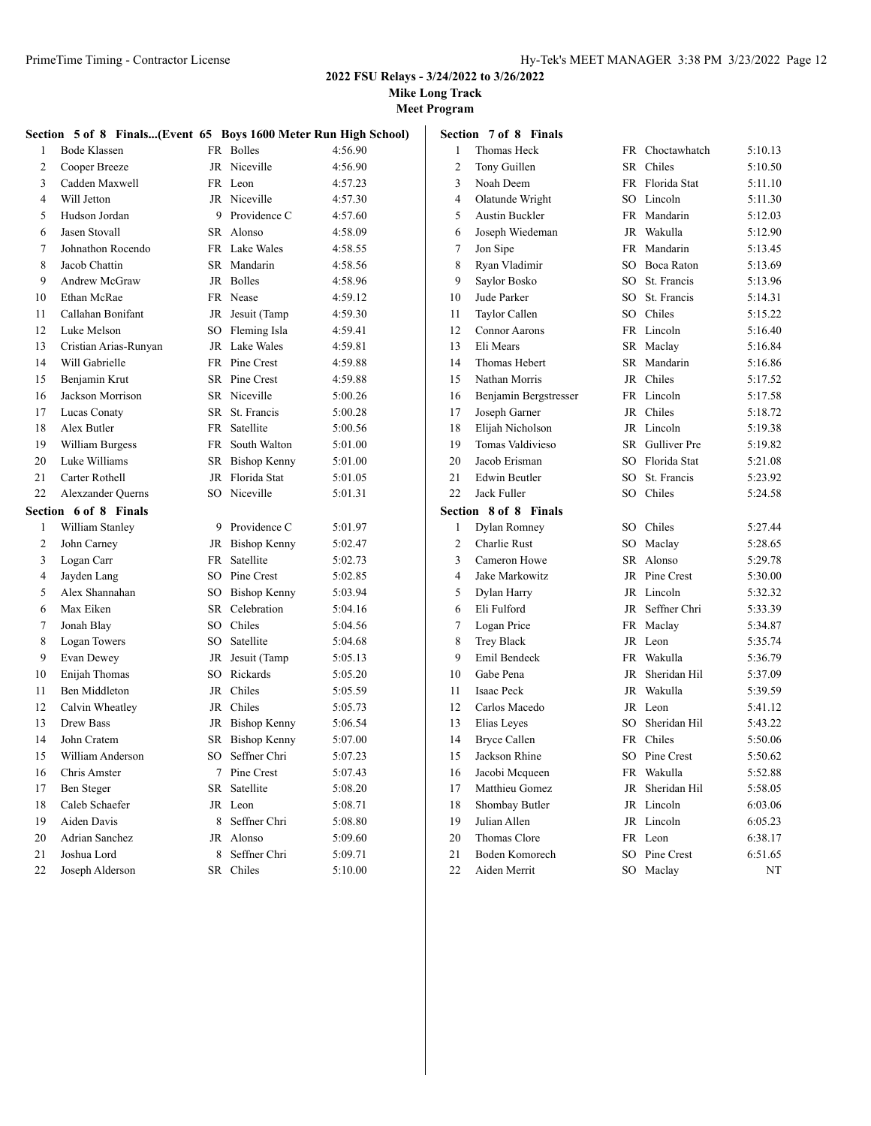**Mike Long Track**

|                | Section 5 of 8 Finals(Event 65 Boys 1600 Meter Run High School) |      |                 |         |
|----------------|-----------------------------------------------------------------|------|-----------------|---------|
| 1              | Bode Klassen                                                    |      | FR Bolles       | 4:56.90 |
| 2              | Cooper Breeze                                                   |      | JR Niceville    | 4:56.90 |
| 3              | Cadden Maxwell                                                  |      | FR Leon         | 4:57.23 |
| $\overline{4}$ | Will Jetton                                                     |      | JR Niceville    | 4:57.30 |
| 5              | Hudson Jordan                                                   |      | 9 Providence C  | 4:57.60 |
| 6              | Jasen Stovall                                                   |      | SR Alonso       | 4:58.09 |
| 7              | Johnathon Rocendo                                               |      | FR Lake Wales   | 4:58.55 |
| 8              | Jacob Chattin                                                   |      | SR Mandarin     | 4:58.56 |
| 9              | Andrew McGraw                                                   |      | JR Bolles       | 4:58.96 |
| 10             | Ethan McRae                                                     |      | FR Nease        | 4:59.12 |
| 11             | Callahan Bonifant                                               |      | JR Jesuit (Tamp | 4:59.30 |
| 12             | Luke Melson                                                     |      | SO Fleming Isla | 4:59.41 |
| 13             | Cristian Arias-Runyan                                           |      | JR Lake Wales   | 4:59.81 |
| 14             | Will Gabrielle                                                  |      | FR Pine Crest   | 4:59.88 |
| 15             | Benjamin Krut                                                   |      | SR Pine Crest   | 4:59.88 |
| 16             | Jackson Morrison                                                |      | SR Niceville    | 5:00.26 |
| 17             | Lucas Conaty                                                    | SR   | St. Francis     | 5:00.28 |
| 18             | Alex Butler                                                     | FR - | Satellite       | 5:00.56 |
| 19             | William Burgess                                                 |      | FR South Walton | 5:01.00 |
| 20             | Luke Williams                                                   |      | SR Bishop Kenny | 5:01.00 |
| 21             | Carter Rothell                                                  |      | JR Florida Stat | 5:01.05 |
| 22             | <b>Alexzander Querns</b>                                        |      | SO Niceville    | 5:01.31 |
|                | Section 6 of 8 Finals                                           |      |                 |         |
| 1              | William Stanley                                                 |      | 9 Providence C  | 5:01.97 |
| 2              | John Carney                                                     |      | JR Bishop Kenny | 5:02.47 |
| 3              | Logan Carr                                                      | FR   | Satellite       | 5:02.73 |
| 4              | Jayden Lang                                                     |      | SO Pine Crest   | 5:02.85 |
| 5              | Alex Shannahan                                                  |      | SO Bishop Kenny | 5:03.94 |
| 6              | Max Eiken                                                       |      | SR Celebration  | 5:04.16 |
| 7              | Jonah Blay                                                      |      | SO Chiles       | 5:04.56 |
| 8              | Logan Towers                                                    | SO   | Satellite       | 5:04.68 |
| 9              | Evan Dewey                                                      | JR   | Jesuit (Tamp    | 5:05.13 |
| 10             | Enijah Thomas                                                   |      | SO Rickards     | 5:05.20 |
| 11             | Ben Middleton                                                   |      | JR Chiles       | 5:05.59 |
| 12             | Calvin Wheatley                                                 |      | JR Chiles       | 5:05.73 |
| 13             | Drew Bass                                                       |      | JR Bishop Kenny | 5:06.54 |
| 14             | John Cratem                                                     |      | SR Bishop Kenny | 5:07.00 |
| 15             | William Anderson                                                |      | SO Seffner Chri | 5:07.23 |
| 16             | Chris Amster                                                    | 7    | Pine Crest      | 5:07.43 |
| 17             | Ben Steger                                                      | SR   | Satellite       | 5:08.20 |
| 18             | Caleb Schaefer                                                  | JR   | Leon            | 5:08.71 |
| 19             | Aiden Davis                                                     | 8    | Seffner Chri    | 5:08.80 |
| 20             | <b>Adrian Sanchez</b>                                           | JR   | Alonso          | 5:09.60 |
| 21             | Joshua Lord                                                     | 8    | Seffner Chri    | 5:09.71 |
| 22             | Joseph Alderson                                                 |      | SR Chiles       | 5:10.00 |
|                |                                                                 |      |                 |         |

|                | Section 7 of 8 Finals |           |                 |         |
|----------------|-----------------------|-----------|-----------------|---------|
| 1              | Thomas Heck           |           | FR Choctawhatch | 5:10.13 |
| 2              | Tony Guillen          | SR –      | Chiles          | 5:10.50 |
| 3              | Noah Deem             |           | FR Florida Stat | 5:11.10 |
| 4              | Olatunde Wright       |           | SO Lincoln      | 5:11.30 |
| 5              | <b>Austin Buckler</b> |           | FR Mandarin     | 5:12.03 |
| 6              | Joseph Wiedeman       |           | JR Wakulla      | 5:12.90 |
| 7              | Jon Sipe              |           | FR Mandarin     | 5:13.45 |
| 8              | Ryan Vladimir         |           | SO Boca Raton   | 5:13.69 |
| 9              | Saylor Bosko          |           | SO St. Francis  | 5:13.96 |
| 10             | Jude Parker           |           | SO St. Francis  | 5:14.31 |
| 11             | Taylor Callen         |           | SO Chiles       | 5:15.22 |
| 12             | <b>Connor Aarons</b>  |           | FR Lincoln      | 5:16.40 |
| 13             | Eli Mears             |           | SR Maclay       | 5:16.84 |
| 14             | Thomas Hebert         | SR        | Mandarin        | 5:16.86 |
| 15             | Nathan Morris         | JR        | Chiles          | 5:17.52 |
| 16             | Benjamin Bergstresser |           | FR Lincoln      | 5:17.58 |
| 17             | Joseph Garner         |           | JR Chiles       | 5:18.72 |
| 18             | Elijah Nicholson      |           | JR Lincoln      | 5:19.38 |
| 19             | Tomas Valdivieso      |           | SR Gulliver Pre | 5:19.82 |
| 20             | Jacob Erisman         |           | SO Florida Stat | 5:21.08 |
| 21             | Edwin Beutler         |           | SO St. Francis  | 5:23.92 |
| 22             | Jack Fuller           |           | SO Chiles       | 5:24.58 |
|                | Section 8 of 8 Finals |           |                 |         |
| 1              | Dylan Romney          |           | SO Chiles       | 5:27.44 |
| $\overline{c}$ | Charlie Rust          |           | SO Maclay       | 5:28.65 |
| 3              | Cameron Howe          | SR –      | Alonso          | 5:29.78 |
| 4              | <b>Jake Markowitz</b> |           | JR Pine Crest   | 5:30.00 |
| 5              | Dylan Harry           |           | JR Lincoln      | 5:32.32 |
| 6              | Eli Fulford           | JR        | Seffner Chri    | 5:33.39 |
| 7              | Logan Price           |           | FR Maclay       | 5:34.87 |
| 8              | <b>Trey Black</b>     |           | JR Leon         | 5:35.74 |
| 9              | Emil Bendeck          |           | FR Wakulla      | 5:36.79 |
| 10             | Gabe Pena             | JR        | Sheridan Hil    | 5:37.09 |
| 11             | Isaac Peck            |           | JR Wakulla      | 5:39.59 |
| 12             | Carlos Macedo         |           | JR Leon         | 5:41.12 |
| 13             | Elias Leyes           | $SO^-$    | Sheridan Hil    | 5:43.22 |
| 14             | <b>Bryce Callen</b>   | <b>FR</b> | Chiles          | 5:50.06 |
| 15             | Jackson Rhine         |           | SO Pine Crest   | 5:50.62 |
| 16             | Jacobi Mcqueen        | FR        | Wakulla         | 5:52.88 |
| 17             | Matthieu Gomez        | JR        | Sheridan Hil    | 5:58.05 |
| 18             | Shombay Butler        | <b>JR</b> | Lincoln         | 6:03.06 |
| 19             | Julian Allen          |           | JR Lincoln      | 6:05.23 |
| 20             | Thomas Clore          | FR        | Leon            | 6:38.17 |
| 21             | Boden Komorech        |           | SO Pine Crest   | 6:51.65 |
| 22             | Aiden Merrit          | SO        | Maclay          | NT      |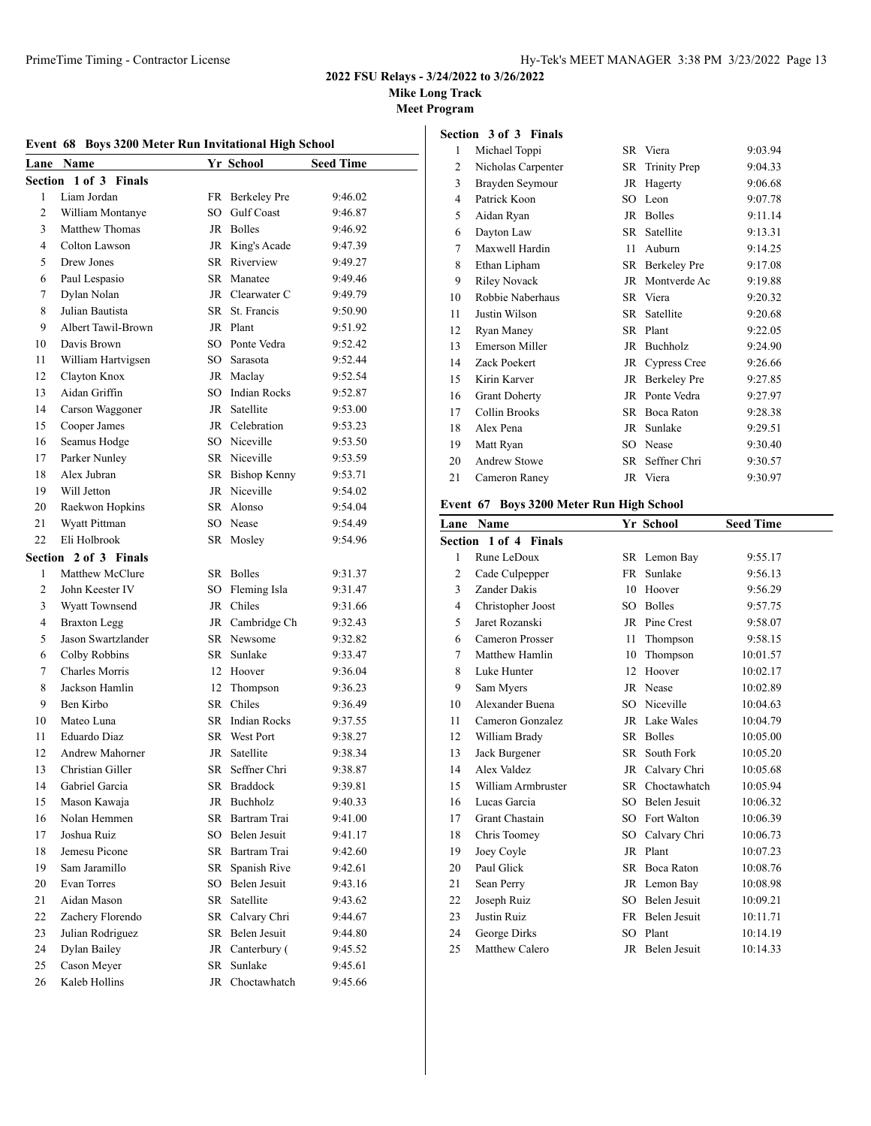**Mike Long Track**

**Meet Program**

# **Event 68 Boys 3200 Meter Run Invitational High School**

| Lane    | Name                          |        | Yr School              | <b>Seed Time</b>   |
|---------|-------------------------------|--------|------------------------|--------------------|
|         | Section 1 of 3 Finals         |        |                        |                    |
| 1       | Liam Jordan                   |        | FR Berkeley Pre        | 9:46.02            |
| 2       | William Montanye              | SO.    | Gulf Coast             | 9:46.87            |
| 3       | Matthew Thomas                | JR     | <b>Bolles</b>          | 9:46.92            |
| 4       | Colton Lawson                 |        | JR King's Acade        | 9:47.39            |
| 5       | Drew Jones                    |        | SR Riverview           | 9:49.27            |
| 6       | Paul Lespasio                 |        | SR Manatee             | 9:49.46            |
| 7       | Dylan Nolan                   |        | JR Clearwater C        | 9:49.79            |
| 8       | Julian Bautista               | SR –   | St. Francis            | 9:50.90            |
| 9       | Albert Tawil-Brown            |        | JR Plant               | 9:51.92            |
| 10      | Davis Brown                   |        | SO Ponte Vedra         | 9:52.42            |
| 11      | William Hartvigsen            | SO -   | Sarasota               | 9:52.44            |
| 12      | Clayton Knox                  |        | JR Maclay              | 9:52.54            |
| 13      | Aidan Griffin                 | $SO^-$ | <b>Indian Rocks</b>    | 9:52.87            |
| 14      | Carson Waggoner               | JR     | Satellite              | 9:53.00            |
| 15      | Cooper James                  |        | JR Celebration         | 9:53.23            |
| 16      | Seamus Hodge                  |        | SO Niceville           | 9:53.50            |
| 17      | Parker Nunley                 |        | SR Niceville           |                    |
| 18      | Alex Jubran                   |        | SR Bishop Kenny        | 9:53.59<br>9:53.71 |
| 19      | Will Jetton                   |        | JR Niceville           | 9:54.02            |
| 20      | Raekwon Hopkins               |        | SR Alonso              | 9:54.04            |
| 21      |                               |        | SO Nease               | 9:54.49            |
| 22      | Wyatt Pittman<br>Eli Holbrook |        |                        |                    |
|         |                               |        | SR Mosley              | 9:54.96            |
| Section | 2 of 3 Finals                 |        |                        |                    |
| 1       | Matthew McClure               |        | SR Bolles              | 9:31.37            |
| 2       | John Keester IV               | SO.    | Fleming Isla           | 9:31.47            |
| 3       | <b>Wyatt Townsend</b>         | JR     | Chiles                 | 9:31.66            |
| 4<br>5  | <b>Braxton Legg</b>           |        | JR Cambridge Ch        | 9:32.43            |
|         | Jason Swartzlander            |        | SR Newsome             | 9:32.82            |
| 6       | Colby Robbins                 | SR     | Sunlake                | 9:33.47            |
| 7       | <b>Charles Morris</b>         |        | 12 Hoover              | 9:36.04            |
| 8       | Jackson Hamlin                | 12     | Thompson               | 9:36.23            |
| 9       | Ben Kirbo                     |        | SR Chiles              | 9:36.49            |
| 10      | Mateo Luna                    |        | <b>SR</b> Indian Rocks | 9:37.55            |
| 11      | Eduardo Diaz                  |        | SR West Port           | 9:38.27            |
| 12      | Andrew Mahorner               | JR     | Satellite              | 9:38.34            |
| 13      | Christian Giller              | SR     | Seffner Chri           | 9:38.87            |
| 14      | Gabriel Garcia                |        | SR Braddock            | 9:39.81            |
| 15      | Mason Kawaja                  | JR     | Buchholz               | 9:40.33            |
| 16      | Nolan Hemmen                  | SR     | Bartram Trai           | 9:41.00            |
| 17      | Joshua Ruiz                   | SO     | Belen Jesuit           | 9:41.17            |
| 18      | Jemesu Picone                 | SR     | Bartram Trai           | 9:42.60            |
| 19      | Sam Jaramillo                 | SR     | Spanish Rive           | 9:42.61            |
| 20      | Evan Torres                   | SO     | Belen Jesuit           | 9:43.16            |
| 21      | Aidan Mason                   | SR     | Satellite              | 9:43.62            |
| 22      | Zachery Florendo              | SR     | Calvary Chri           | 9:44.67            |
| 23      | Julian Rodriguez              | SR     | Belen Jesuit           | 9:44.80            |
| 24      | Dylan Bailey                  | JR     | Canterbury (           | 9:45.52            |
| 25      | Cason Meyer                   | SR     | Sunlake                | 9:45.61            |
| 26      | Kaleb Hollins                 | JR     | Choctawhatch           | 9:45.66            |

# **Section 3 of 3 Finals**

| 1              | Michael Toppi         |           | SR Viera            | 9:03.94 |
|----------------|-----------------------|-----------|---------------------|---------|
| $\overline{c}$ | Nicholas Carpenter    | SR        | <b>Trinity Prep</b> | 9:04.33 |
| 3              | Brayden Seymour       | JR        | Hagerty             | 9:06.68 |
| $\overline{4}$ | Patrick Koon          | SO.       | Leon                | 9:07.78 |
| 5              | Aidan Ryan            | JR        | <b>Bolles</b>       | 9:11.14 |
| 6              | Dayton Law            | SR        | Satellite           | 9:13.31 |
| 7              | Maxwell Hardin        | 11        | Auburn              | 9:14.25 |
| 8              | Ethan Lipham          | SR        | <b>Berkeley Pre</b> | 9:17.08 |
| 9              | <b>Riley Novack</b>   | JR        | Montverde Ac        | 9:19.88 |
| 10             | Robbie Naberhaus      | SR.       | Viera               | 9:20.32 |
| 11             | Justin Wilson         | SR.       | Satellite           | 9:20.68 |
| 12             | Ryan Maney            | <b>SR</b> | Plant               | 9:22.05 |
| 13             | <b>Emerson Miller</b> | JR        | Buchholz            | 9:24.90 |
| 14             | Zack Poekert          | JR        | <b>Cypress Cree</b> | 9:26.66 |
| 15             | Kirin Karver          | JR        | Berkeley Pre        | 9:27.85 |
| 16             | <b>Grant Doherty</b>  | JR        | Ponte Vedra         | 9:27.97 |
| 17             | Collin Brooks         | SR        | Boca Raton          | 9:28.38 |
| 18             | Alex Pena             | JR        | Sunlake             | 9:29.51 |
| 19             | Matt Ryan             | SO        | Nease               | 9:30.40 |
| 20             | <b>Andrew Stowe</b>   | SR        | Seffner Chri        | 9:30.57 |
| 21             | Cameron Raney         |           | JR Viera            | 9:30.97 |
|                |                       |           |                     |         |

# **Event 67 Boys 3200 Meter Run High School**

| Lane Name             |     |               | <b>Seed Time</b>                                                                                                                                                                               |
|-----------------------|-----|---------------|------------------------------------------------------------------------------------------------------------------------------------------------------------------------------------------------|
| Section 1 of 4 Finals |     |               |                                                                                                                                                                                                |
| Rune LeDoux           |     |               | 9:55.17                                                                                                                                                                                        |
| Cade Culpepper        | FR  | Sunlake       | 9:56.13                                                                                                                                                                                        |
| Zander Dakis          | 10  | Hoover        | 9:56.29                                                                                                                                                                                        |
| Christopher Joost     | SO. | <b>Bolles</b> | 9:57.75                                                                                                                                                                                        |
| Jaret Rozanski        | JR  | Pine Crest    | 9:58.07                                                                                                                                                                                        |
| Cameron Prosser       | 11  | Thompson      | 9:58.15                                                                                                                                                                                        |
| Matthew Hamlin        | 10  | Thompson      | 10:01.57                                                                                                                                                                                       |
| Luke Hunter           | 12  | Hoover        | 10:02.17                                                                                                                                                                                       |
| Sam Myers             |     |               | 10:02.89                                                                                                                                                                                       |
| Alexander Buena       | SO. |               | 10:04.63                                                                                                                                                                                       |
| Cameron Gonzalez      |     |               | 10:04.79                                                                                                                                                                                       |
| William Brady         | SR. | <b>Bolles</b> | 10:05.00                                                                                                                                                                                       |
| Jack Burgener         | SR. | South Fork    | 10:05.20                                                                                                                                                                                       |
| Alex Valdez           |     |               | 10:05.68                                                                                                                                                                                       |
| William Armbruster    |     | Choctawhatch  | 10:05.94                                                                                                                                                                                       |
| Lucas Garcia          | SO. |               | 10:06.32                                                                                                                                                                                       |
| Grant Chastain        | SO. |               | 10:06.39                                                                                                                                                                                       |
| Chris Toomey          | SO. | Calvary Chri  | 10:06.73                                                                                                                                                                                       |
| Joey Coyle            |     |               | 10:07.23                                                                                                                                                                                       |
| Paul Glick            | SR. | Boca Raton    | 10:08.76                                                                                                                                                                                       |
| Sean Perry            |     |               | 10:08.98                                                                                                                                                                                       |
| Joseph Ruiz           |     |               | 10:09.21                                                                                                                                                                                       |
| Justin Ruiz           | FR  | Belen Jesuit  | 10:11.71                                                                                                                                                                                       |
| George Dirks          | SO. | Plant         | 10:14.19                                                                                                                                                                                       |
| Matthew Calero        |     |               | 10:14.33                                                                                                                                                                                       |
|                       |     |               | Yr School<br>SR Lemon Bay<br>JR Nease<br>Niceville<br>JR Lake Wales<br>JR Calvary Chri<br>SR.<br>Belen Jesuit<br>Fort Walton<br>JR Plant<br>JR Lemon Bay<br>SO Belen Jesuit<br>JR Belen Jesuit |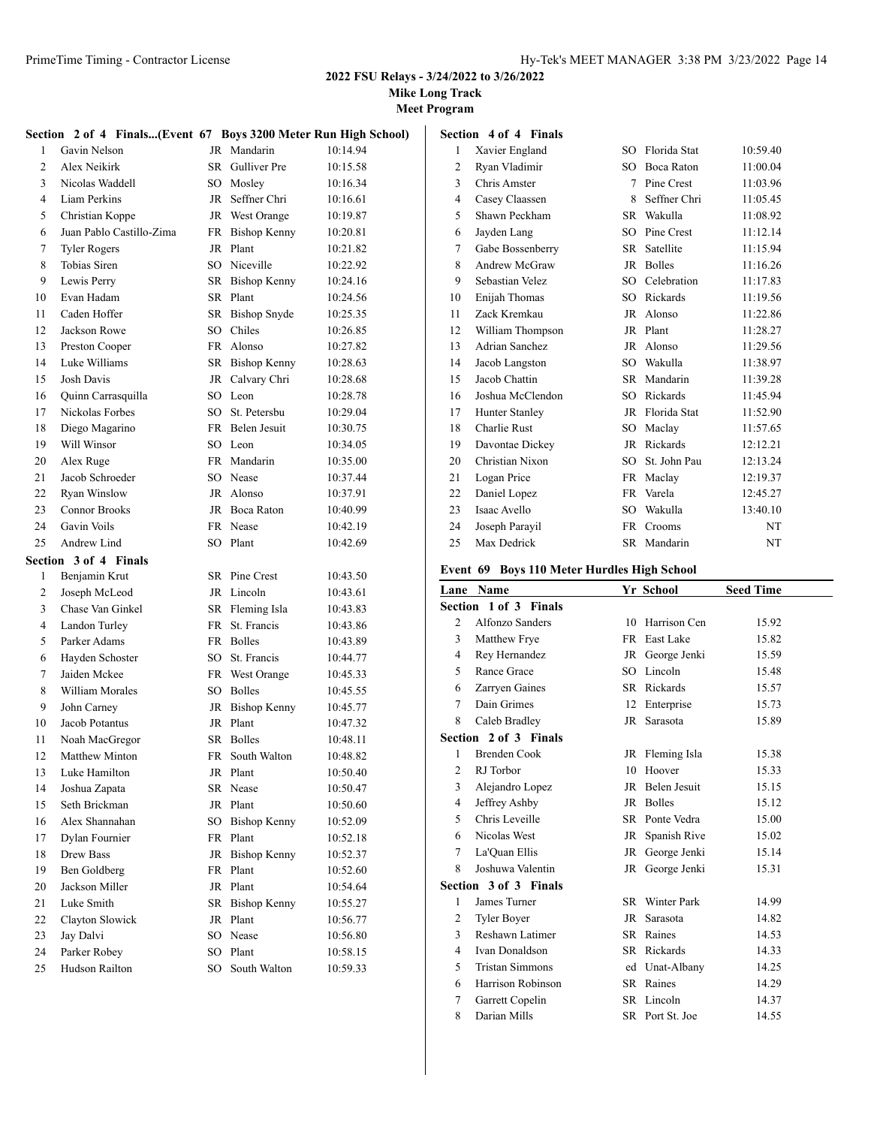**Mike Long Track**

**Meet Program**

**Section 4 of 4 Finals**

|              | Section 2 of 4 Finals(Event 67 Boys 3200 Meter Run High School) |    |                     |          |
|--------------|-----------------------------------------------------------------|----|---------------------|----------|
| $\mathbf{1}$ | Gavin Nelson                                                    |    | JR Mandarin         | 10:14.94 |
| 2            | Alex Neikirk                                                    |    | SR Gulliver Pre     | 10:15.58 |
| 3            | Nicolas Waddell                                                 |    | SO Mosley           | 10:16.34 |
| 4            | Liam Perkins                                                    | JR | Seffner Chri        | 10:16.61 |
| 5            | Christian Koppe                                                 |    | JR West Orange      | 10:19.87 |
| 6            | Juan Pablo Castillo-Zima                                        | FR | <b>Bishop Kenny</b> | 10:20.81 |
| 7            | <b>Tyler Rogers</b>                                             | JR | Plant               | 10:21.82 |
| 8            | Tobias Siren                                                    |    | SO Niceville        | 10:22.92 |
| 9            | Lewis Perry                                                     |    | SR Bishop Kenny     | 10:24.16 |
| 10           | Evan Hadam                                                      |    | SR Plant            | 10:24.56 |
| 11           | Caden Hoffer                                                    |    | SR Bishop Snyde     | 10:25.35 |
| 12           | Jackson Rowe                                                    |    | SO Chiles           | 10:26.85 |
| 13           | Preston Cooper                                                  |    | FR Alonso           | 10:27.82 |
| 14           | Luke Williams                                                   |    | SR Bishop Kenny     | 10:28.63 |
| 15           | Josh Davis                                                      |    | JR Calvary Chri     | 10:28.68 |
| 16           | Quinn Carrasquilla                                              |    | SO Leon             | 10:28.78 |
| 17           | Nickolas Forbes                                                 |    | SO St. Petersbu     | 10:29.04 |
| 18           | Diego Magarino                                                  |    | FR Belen Jesuit     | 10:30.75 |
| 19           | Will Winsor                                                     |    | SO Leon             | 10:34.05 |
| 20           | Alex Ruge                                                       |    | FR Mandarin         | 10:35.00 |
| 21           | Jacob Schroeder                                                 |    | SO Nease            | 10:37.44 |
| 22           | <b>Ryan Winslow</b>                                             |    | JR Alonso           | 10:37.91 |
| 23           | <b>Connor Brooks</b>                                            |    | JR Boca Raton       | 10:40.99 |
| 24           | Gavin Voils                                                     |    | FR Nease            | 10:42.19 |
| 25           | Andrew Lind                                                     |    | SO Plant            | 10:42.69 |
|              | Section 3 of 4 Finals                                           |    |                     |          |
| $\mathbf{1}$ | Benjamin Krut                                                   |    | SR Pine Crest       | 10:43.50 |
| 2            | Joseph McLeod                                                   |    | JR Lincoln          | 10:43.61 |
| 3            | Chase Van Ginkel                                                |    | SR Fleming Isla     | 10:43.83 |
| 4            | Landon Turley                                                   | FR | St. Francis         | 10:43.86 |
| 5            | Parker Adams                                                    |    | FR Bolles           | 10:43.89 |
| 6            | Hayden Schoster                                                 | SO | St. Francis         | 10:44.77 |
| 7            | Jaiden Mckee                                                    |    | FR West Orange      | 10:45.33 |
| 8            | William Morales                                                 |    | SO Bolles           | 10:45.55 |
| 9            | John Carney                                                     |    | JR Bishop Kenny     | 10:45.77 |
| 10           | Jacob Potantus                                                  |    | JR Plant            | 10:47.32 |
| 11           | Noah MacGregor                                                  |    | SR Bolles           | 10:48.11 |
| 12           | <b>Matthew Minton</b>                                           | FR | South Walton        | 10:48.82 |
| 13           | Luke Hamilton                                                   |    | JR Plant            | 10:50.40 |
| 14           | Joshua Zapata                                                   | SR | Nease               | 10:50.47 |
| 15           | Seth Brickman                                                   | JR | Plant               | 10:50.60 |
| 16           | Alex Shannahan                                                  | SO | <b>Bishop Kenny</b> | 10:52.09 |
| 17           | Dylan Fournier                                                  | FR | Plant               | 10:52.18 |
| 18           | Drew Bass                                                       | JR | <b>Bishop Kenny</b> | 10:52.37 |
| 19           | Ben Goldberg                                                    | FR | Plant               | 10:52.60 |
| 20           | Jackson Miller                                                  | JR | Plant               | 10:54.64 |
| 21           | Luke Smith                                                      | SR | <b>Bishop Kenny</b> | 10:55.27 |
| 22           | Clayton Slowick                                                 |    | JR Plant            | 10:56.77 |
| 23           | Jay Dalvi                                                       |    | SO Nease            | 10:56.80 |
| 24           | Parker Robey                                                    | SO | Plant               | 10:58.15 |
| 25           | Hudson Railton                                                  | SO | South Walton        | 10:59.33 |

| 1              | Xavier England        | SO.       | Florida Stat  | 10:59.40 |
|----------------|-----------------------|-----------|---------------|----------|
| 2              | Ryan Vladimir         | SO.       | Boca Raton    | 11:00.04 |
| 3              | Chris Amster          | 7         | Pine Crest    | 11:03.96 |
| $\overline{4}$ | Casey Claassen        | 8         | Seffner Chri  | 11:05.45 |
| 5              | Shawn Peckham         | SR        | Wakulla       | 11:08.92 |
| 6              | Jayden Lang           | SO.       | Pine Crest    | 11:12.14 |
| 7              | Gabe Bossenberry      | SR        | Satellite     | 11:15.94 |
| 8              | Andrew McGraw         | JR.       | <b>Bolles</b> | 11:16.26 |
| 9              | Sebastian Velez       | SO.       | Celebration   | 11:17.83 |
| 10             | Enijah Thomas         | SO.       | Rickards      | 11:19.56 |
| 11             | Zack Kremkau          | JR        | Alonso        | 11:22.86 |
| 12             | William Thompson      | JR        | Plant         | 11:28.27 |
| 13             | Adrian Sanchez        | JR        | Alonso        | 11:29.56 |
| 14             | Jacob Langston        | SO.       | Wakulla       | 11:38.97 |
| 15             | Jacob Chattin         | SR.       | Mandarin      | 11:39.28 |
| 16             | Joshua McClendon      | SO.       | Rickards      | 11:45.94 |
| 17             | <b>Hunter Stanley</b> | JR        | Florida Stat  | 11:52.90 |
| 18             | Charlie Rust          | SO.       | Maclay        | 11:57.65 |
| 19             | Davontae Dickey       | JR        | Rickards      | 12:12.21 |
| 20             | Christian Nixon       | SO.       | St. John Pau  | 12:13.24 |
| 21             | Logan Price           | FR        | Maclay        | 12:19.37 |
| 22             | Daniel Lopez          | FR        | Varela        | 12:45.27 |
| 23             | Isaac Avello          | SO.       | Wakulla       | 13:40.10 |
| 24             | Joseph Parayil        | <b>FR</b> | Crooms        | NT       |
| 25             | Max Dedrick           | SR        | Mandarin      | NT       |

# **Event 69 Boys 110 Meter Hurdles High School**

|                | Lane Name              |    | Yr School       | <b>Seed Time</b> |
|----------------|------------------------|----|-----------------|------------------|
|                | Section 1 of 3 Finals  |    |                 |                  |
| 2              | Alfonzo Sanders        | 10 | Harrison Cen    | 15.92            |
| 3              | Matthew Frye           |    | FR East Lake    | 15.82            |
| 4              | Rey Hernandez          |    | JR George Jenki | 15.59            |
| 5              | Rance Grace            |    | SO Lincoln      | 15.48            |
| 6              | Zarryen Gaines         |    | SR Rickards     | 15.57            |
| 7              | Dain Grimes            |    | 12 Enterprise   | 15.73            |
| 8              | Caleb Bradley          |    | JR Sarasota     | 15.89            |
|                | Section 2 of 3 Finals  |    |                 |                  |
| 1              | <b>Brenden Cook</b>    |    | JR Fleming Isla | 15.38            |
| $\overline{c}$ | RJ Torbor              | 10 | Hoover          | 15.33            |
| 3              | Alejandro Lopez        |    | JR Belen Jesuit | 15.15            |
| 4              | Jeffrey Ashby          |    | JR Bolles       | 15.12            |
| 5              | Chris Leveille         |    | SR Ponte Vedra  | 15.00            |
| 6              | Nicolas West           |    | JR Spanish Rive | 15.02            |
| 7              | La'Quan Ellis          |    | JR George Jenki | 15.14            |
| 8              | Joshuwa Valentin       |    | JR George Jenki | 15.31            |
|                | Section 3 of 3 Finals  |    |                 |                  |
| 1              | James Turner           |    | SR Winter Park  | 14.99            |
| 2              | <b>Tyler Boyer</b>     |    | JR Sarasota     | 14.82            |
| 3              | Reshawn Latimer        |    | SR Raines       | 14.53            |
| 4              | Ivan Donaldson         |    | SR Rickards     | 14.33            |
| 5              | <b>Tristan Simmons</b> |    | ed Unat-Albany  | 14.25            |
| 6              | Harrison Robinson      |    | SR Raines       | 14.29            |
| 7              | Garrett Copelin        |    | SR Lincoln      | 14.37            |
| 8              | Darian Mills           |    | SR Port St. Joe | 14.55            |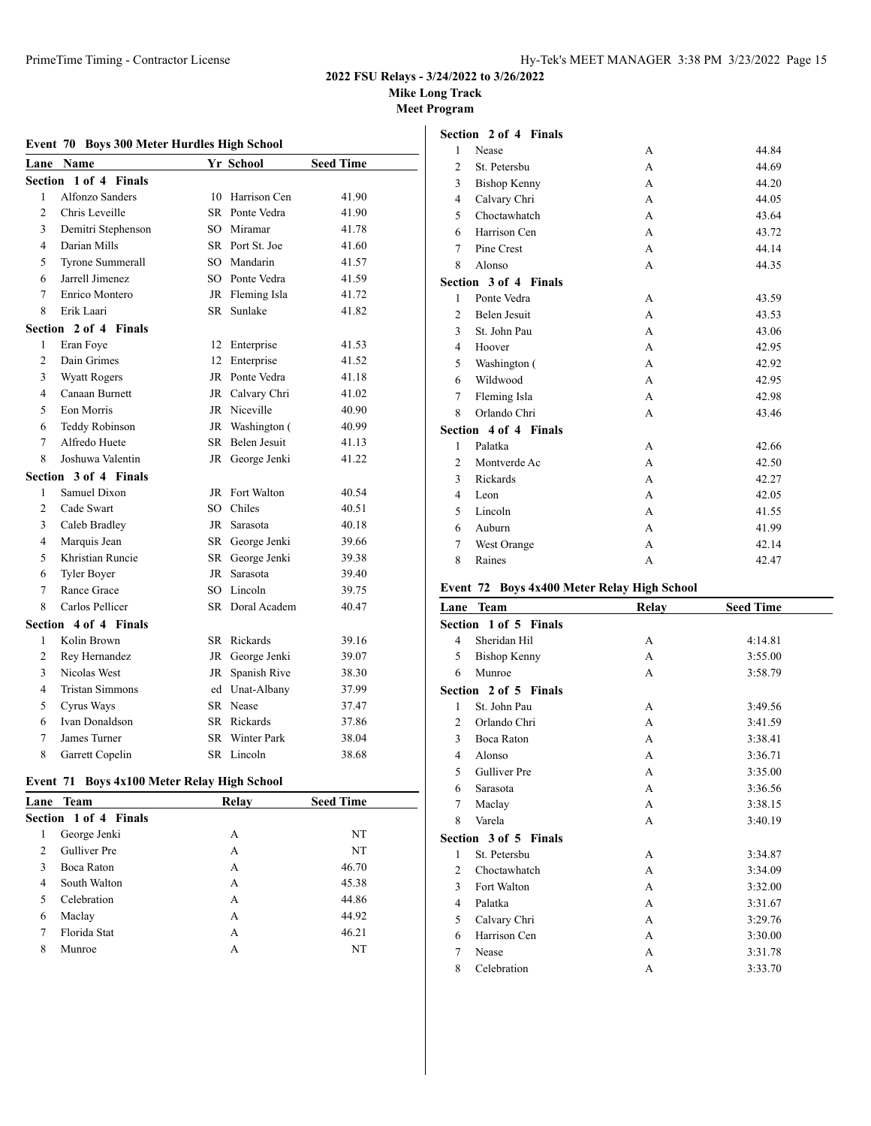# **Mike Long Track**

**Meet Program**

# **Event 70 Boys 300 Meter Hurdles High School**

| Lane           | Name                     |        | Yr School          | <b>Seed Time</b> |
|----------------|--------------------------|--------|--------------------|------------------|
| Section        | 1 of 4 Finals            |        |                    |                  |
| 1              | Alfonzo Sanders          | 10     | Harrison Cen       | 41.90            |
| $\overline{c}$ | Chris Leveille           | SR     | Ponte Vedra        | 41.90            |
| 3              | Demitri Stephenson       | SO     | Miramar            | 41.78            |
| $\overline{4}$ | Darian Mills             |        | SR Port St. Joe    | 41.60            |
| 5              | <b>Tyrone Summerall</b>  | $SO^-$ | Mandarin           | 41.57            |
| 6              | Jarrell Jimenez          |        | SO Ponte Vedra     | 41.59            |
| 7              | Enrico Montero           |        | JR Fleming Isla    | 41.72            |
| 8              | Erik Laari               | SR –   | Sunlake            | 41.82            |
|                | Section 2 of 4<br>Finals |        |                    |                  |
| 1              | Eran Foye                | 12     | Enterprise         | 41.53            |
| $\overline{c}$ | Dain Grimes              | 12     | Enterprise         | 41.52            |
| 3              | <b>Wyatt Rogers</b>      | JR     | Ponte Vedra        | 41.18            |
| 4              | Canaan Burnett           | JR     | Calvary Chri       | 41.02            |
| 5              | Eon Morris               | JR     | Niceville          | 40.90            |
| 6              | Teddy Robinson           | JR     | Washington (       | 40.99            |
| $\tau$         | Alfredo Huete            | SR     | Belen Jesuit       | 41.13            |
| 8              | Joshuwa Valentin         | JR     | George Jenki       | 41.22            |
| Section        | 3 of 4 Finals            |        |                    |                  |
| 1              | Samuel Dixon             |        | JR Fort Walton     | 40.54            |
| 2              | Cade Swart               | $SO^-$ | Chiles             | 40.51            |
| 3              | Caleb Bradley            | JR     | Sarasota           | 40.18            |
| $\overline{4}$ | Marquis Jean             |        | SR George Jenki    | 39.66            |
| 5              | Khristian Runcie         | SR     | George Jenki       | 39.38            |
| 6              | <b>Tyler Boyer</b>       | JR     | Sarasota           | 39.40            |
| $\tau$         | Rance Grace              | SO     | Lincoln            | 39.75            |
| 8              | Carlos Pellicer          |        | SR Doral Academ    | 40.47            |
| Section        | 4 of 4 Finals            |        |                    |                  |
| 1              | Kolin Brown              |        | SR Rickards        | 39.16            |
| 2              | Rey Hernandez            | JR     | George Jenki       | 39.07            |
| 3              | Nicolas West             | JR     | Spanish Rive       | 38.30            |
| 4              | <b>Tristan Simmons</b>   |        | ed Unat-Albany     | 37.99            |
| 5              | Cyrus Ways               |        | SR Nease           | 37.47            |
| 6              | Ivan Donaldson           |        | SR Rickards        | 37.86            |
| 7              | James Turner             | SR –   | <b>Winter Park</b> | 38.04            |
| 8              | Garrett Copelin          |        | SR Lincoln         | 38.68            |

# **Event 71 Boys 4x100 Meter Relay High School**

|               | Lane Team             | Relav | <b>Seed Time</b> |
|---------------|-----------------------|-------|------------------|
|               | Section 1 of 4 Finals |       |                  |
| 1             | George Jenki          | А     | NT               |
| $\mathcal{P}$ | <b>Gulliver</b> Pre   | A     | NT               |
| $\mathbf{3}$  | Boca Raton            | А     | 46.70            |
| 4             | South Walton          | А     | 45.38            |
| 5             | Celebration           | A     | 44.86            |
| 6             | Maclay                | А     | 44.92            |
|               | Florida Stat          | А     | 46.21            |
| 8             | Munroe                | А     | NT               |
|               |                       |       |                  |

|                | Section 2 of 4 Finals |              |       |
|----------------|-----------------------|--------------|-------|
| 1              | Nease                 | A            | 44.84 |
| $\overline{c}$ | St. Petersbu          | A            | 44.69 |
| 3              | <b>Bishop Kenny</b>   | A            | 44.20 |
| 4              | Calvary Chri          | A            | 44.05 |
| 5              | Choctawhatch          | A            | 43.64 |
| 6              | Harrison Cen          | A            | 43.72 |
| 7              | Pine Crest            | A            | 44.14 |
| 8              | Alonso                | A            | 44.35 |
|                | Section 3 of 4 Finals |              |       |
| 1              | Ponte Vedra           | A            | 43.59 |
| $\mathfrak{D}$ | Belen Jesuit          | A            | 43.53 |
| 3              | St. John Pau          | A            | 43.06 |
| 4              | Hoover                | A            | 42.95 |
| 5              | Washington (          | A            | 42.92 |
| 6              | Wildwood              | А            | 42.95 |
| 7              | Fleming Isla          | $\mathsf{A}$ | 42.98 |
| 8              | Orlando Chri          | А            | 43.46 |
|                | Section 4 of 4 Finals |              |       |
| 1              | Palatka               | A            | 42.66 |
| $\overline{2}$ | Montverde Ac          | A            | 42.50 |
| 3              | Rickards              | A            | 42.27 |
| 4              | Leon                  | A            | 42.05 |
| 5              | Lincoln               | A            | 41.55 |
| 6              | Auburn                | A            | 41.99 |
| 7              | West Orange           | A            | 42.14 |
| 8              | Raines                | A            | 42.47 |

# **Event 72 Boys 4x400 Meter Relay High School**

| Lane           | <b>Team</b>           | Relay          | <b>Seed Time</b> |
|----------------|-----------------------|----------------|------------------|
|                | Section 1 of 5 Finals |                |                  |
| $\overline{4}$ | Sheridan Hil          | А              | 4:14.81          |
| 5              | <b>Bishop Kenny</b>   | A              | 3:55.00          |
| 6              | Munroe                | A              | 3:58.79          |
|                | Section 2 of 5 Finals |                |                  |
| 1              | St. John Pau          | A              | 3:49.56          |
| $\overline{c}$ | Orlando Chri          | A              | 3:41.59          |
| 3              | Boca Raton            | A              | 3:38.41          |
| 4              | Alonso                | $\overline{A}$ | 3:36.71          |
| 5              | <b>Gulliver</b> Pre   | $\overline{A}$ | 3:35.00          |
| 6              | Sarasota              | $\overline{A}$ | 3:36.56          |
| 7              | Maclay                | $\overline{A}$ | 3:38.15          |
| 8              | Varela                | A              | 3:40.19          |
|                | Section 3 of 5 Finals |                |                  |
| 1              | St. Petersbu          | A              | 3:34.87          |
| $\overline{c}$ | Choctawhatch          | $\overline{A}$ | 3:34.09          |
| 3              | Fort Walton           | A              | 3:32.00          |
| $\overline{4}$ | Palatka               | A              | 3:31.67          |
| 5              | Calvary Chri          | A              | 3:29.76          |
| 6              | Harrison Cen          | A              | 3:30.00          |
| 7              | Nease                 | A              | 3:31.78          |
| 8              | Celebration           | А              | 3:33.70          |
|                |                       |                |                  |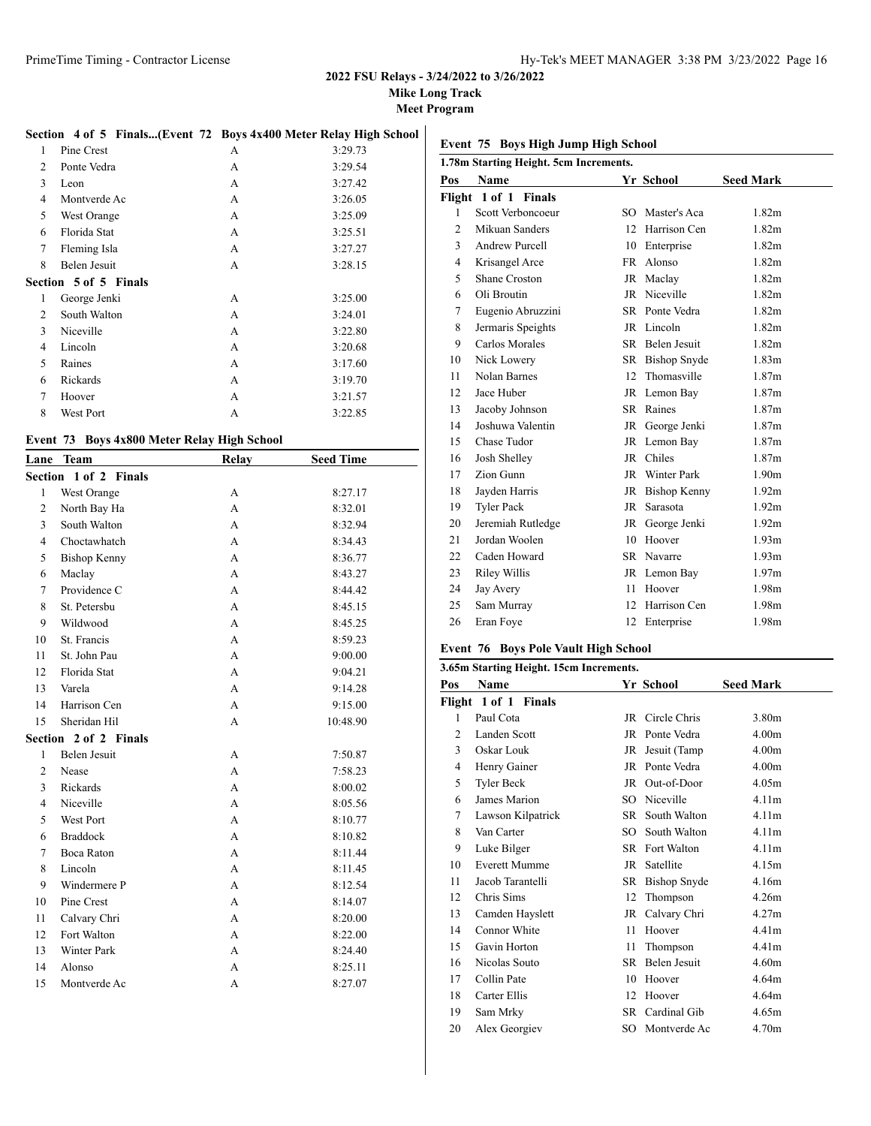**Mike Long Track**

**Meet Program**

# **Section 4 of 5 Finals...(Event 72 Boys 4x400 Meter Relay High School)**

| 1 | Pine Crest            | А | 3:29.73 |
|---|-----------------------|---|---------|
| 2 | Ponte Vedra           | А | 3:29.54 |
| 3 | Leon                  | A | 3:27.42 |
| 4 | Montverde Ac          | A | 3:26.05 |
| 5 | West Orange           | A | 3:25.09 |
| 6 | Florida Stat          | A | 3:25.51 |
| 7 | Fleming Isla          | A | 3:27.27 |
| 8 | Belen Jesuit          | A | 3:28.15 |
|   | Section 5 of 5 Finals |   |         |
|   |                       |   |         |
| 1 | George Jenki          | A | 3:25.00 |
| 2 | South Walton          | A | 3:24.01 |
| 3 | Niceville             | A | 3:22.80 |
| 4 | Lincoln               | A | 3:20.68 |
| 5 | Raines                | A | 3:17.60 |
| 6 | Rickards              | A | 3:19.70 |
| 7 | Hoover                | A | 3:21.57 |

### **Event 73 Boys 4x800 Meter Relay High School**

| Lane           | <b>Team</b>           | Relay | <b>Seed Time</b> |
|----------------|-----------------------|-------|------------------|
|                | Section 1 of 2 Finals |       |                  |
| $\mathbf{1}$   | West Orange           | A     | 8:27.17          |
| $\overline{2}$ | North Bay Ha          | A     | 8:32.01          |
| 3              | South Walton          | A     | 8:32.94          |
| 4              | Choctawhatch          | A     | 8:34.43          |
| 5              | <b>Bishop Kenny</b>   | A     | 8:36.77          |
| 6              | Maclay                | A     | 8:43.27          |
| $\overline{7}$ | Providence C          | A     | 8:44.42          |
| 8              | St. Petersbu          | A     | 8:45.15          |
| 9              | Wildwood              | A     | 8:45.25          |
| 10             | St. Francis           | A     | 8:59.23          |
| 11             | St. John Pau          | A     | 9:00.00          |
| 12             | Florida Stat          | А     | 9:04.21          |
| 13             | Varela                | A     | 9:14.28          |
| 14             | Harrison Cen          | А     | 9:15.00          |
| 15             | Sheridan Hil          | A     | 10:48.90         |
|                | Section 2 of 2 Finals |       |                  |
| $\mathbf{1}$   | <b>Belen Jesuit</b>   | А     | 7:50.87          |
| $\overline{2}$ | Nease                 | A     | 7:58.23          |
| 3              | Rickards              | A     | 8:00.02          |
| 4              | Niceville             | A     | 8:05.56          |
| 5              | <b>West Port</b>      | А     | 8:10.77          |
| 6              | <b>Braddock</b>       | A     | 8:10.82          |
| 7              | <b>Boca Raton</b>     | A     | 8:11.44          |
| 8              | Lincoln               | А     | 8:11.45          |
| 9              | Windermere P          | А     | 8:12.54          |
| 10             | Pine Crest            | A     | 8:14.07          |
| 11             | Calvary Chri          | A     | 8:20.00          |
| 12             | Fort Walton           | A     | 8:22.00          |
| 13             | <b>Winter Park</b>    | А     | 8:24.40          |
| 14             | Alonso                | A     | 8:25.11          |
| 15             | Montverde Ac          | A     | 8:27.07          |

# **Event 75 Boys High Jump High School**

| 1.78m Starting Height. 5cm Increments. |                       |                 |                     |                   |  |  |  |
|----------------------------------------|-----------------------|-----------------|---------------------|-------------------|--|--|--|
| Pos                                    | <b>Name</b>           |                 | Yr School           | <b>Seed Mark</b>  |  |  |  |
|                                        | Flight 1 of 1 Finals  |                 |                     |                   |  |  |  |
| 1                                      | Scott Verboncoeur     | SO.             | Master's Aca        | 1.82 <sub>m</sub> |  |  |  |
| 2                                      | Mikuan Sanders        | 12 <sub>1</sub> | Harrison Cen        | 1.82m             |  |  |  |
| 3                                      | <b>Andrew Purcell</b> | 10              | Enterprise          | 1.82m             |  |  |  |
| 4                                      | Krisangel Arce        | FR -            | Alonso              | 1.82 <sub>m</sub> |  |  |  |
| 5                                      | Shane Croston         |                 | JR Maclay           | 1.82m             |  |  |  |
| 6                                      | Oli Broutin           |                 | JR Niceville        | 1.82m             |  |  |  |
| 7                                      | Eugenio Abruzzini     | SR -            | Ponte Vedra         | 1.82 <sub>m</sub> |  |  |  |
| 8                                      | Jermaris Speights     |                 | JR Lincoln          | 1.82m             |  |  |  |
| 9                                      | Carlos Morales        |                 | SR Belen Jesuit     | 1.82m             |  |  |  |
| 10                                     | Nick Lowery           | SR              | <b>Bishop Snyde</b> | 1.83 <sub>m</sub> |  |  |  |
| 11                                     | Nolan Barnes          | 12              | Thomasville         | 1.87m             |  |  |  |
| 12                                     | Jace Huber            |                 | JR Lemon Bay        | 1.87m             |  |  |  |
| 13                                     | Jacoby Johnson        |                 | SR Raines           | 1.87m             |  |  |  |
| 14                                     | Joshuwa Valentin      |                 | JR George Jenki     | 1.87m             |  |  |  |
| 15                                     | Chase Tudor           |                 | JR Lemon Bay        | 1.87m             |  |  |  |
| 16                                     | Josh Shelley          |                 | JR Chiles           | 1.87m             |  |  |  |
| 17                                     | Zion Gunn             |                 | JR Winter Park      | 1.90 <sub>m</sub> |  |  |  |
| 18                                     | Jayden Harris         |                 | JR Bishop Kenny     | 1.92 <sub>m</sub> |  |  |  |
| 19                                     | <b>Tyler Pack</b>     | JR              | Sarasota            | 1.92 <sub>m</sub> |  |  |  |
| 20                                     | Jeremiah Rutledge     |                 | JR George Jenki     | 1.92 <sub>m</sub> |  |  |  |
| 21                                     | Jordan Woolen         | 10              | Hoover              | 1.93 <sub>m</sub> |  |  |  |
| 22                                     | Caden Howard          |                 | SR Navarre          | 1.93 <sub>m</sub> |  |  |  |
| 23                                     | Riley Willis          |                 | JR Lemon Bay        | 1.97 <sub>m</sub> |  |  |  |
| 24                                     | Jay Avery             | 11              | Hoover              | 1.98m             |  |  |  |
| 25                                     | Sam Murray            | 12              | Harrison Cen        | 1.98m             |  |  |  |
| 26                                     | Eran Foye             | 12              | Enterprise          | 1.98m             |  |  |  |

# **Event 76 Boys Pole Vault High School**

| 3.65m Starting Height. 15cm Increments. |                      |      |                |                   |  |  |
|-----------------------------------------|----------------------|------|----------------|-------------------|--|--|
| Pos                                     | <b>Name</b>          |      | Yr School      | <b>Seed Mark</b>  |  |  |
|                                         | Flight 1 of 1 Finals |      |                |                   |  |  |
| 1                                       | Paul Cota            | JR   | Circle Chris   | 3.80 <sub>m</sub> |  |  |
| 2                                       | Landen Scott         | JR   | Ponte Vedra    | 4.00 <sub>m</sub> |  |  |
| 3                                       | Oskar Louk           | JR   | Jesuit (Tamp   | 4.00 <sub>m</sub> |  |  |
| 4                                       | Henry Gainer         |      | JR Ponte Vedra | 4.00 <sub>m</sub> |  |  |
| 5                                       | Tyler Beck           | JR   | Out-of-Door    | 4.05m             |  |  |
| 6                                       | James Marion         | SO   | Niceville      | 4.11 <sub>m</sub> |  |  |
| 7                                       | Lawson Kilpatrick    | SR - | South Walton   | 4.11m             |  |  |
| 8                                       | Van Carter           | SO.  | South Walton   | 4.11m             |  |  |
| 9                                       | Luke Bilger          | SR   | Fort Walton    | 4.11 <sub>m</sub> |  |  |
| 10                                      | <b>Everett Mumme</b> | JR   | Satellite      | 4.15m             |  |  |
| 11                                      | Jacob Tarantelli     | SR   | Bishop Snyde   | 4.16m             |  |  |
| 12                                      | Chris Sims           | 12   | Thompson       | 4.26m             |  |  |
| 13                                      | Camden Hayslett      | JR   | Calvary Chri   | 4.27m             |  |  |
| 14                                      | Connor White         | 11   | Hoover         | 4.41m             |  |  |
| 15                                      | Gavin Horton         | 11   | Thompson       | 4.41 <sub>m</sub> |  |  |
| 16                                      | Nicolas Souto        | SR.  | Belen Jesuit   | 4.60m             |  |  |
| 17                                      | Collin Pate          | 10   | Hoover         | 4.64m             |  |  |
| 18                                      | Carter Ellis         | 12   | Hoover         | 4.64m             |  |  |
| 19                                      | Sam Mrky             | SR   | Cardinal Gib   | 4.65m             |  |  |
| 20                                      | Alex Georgiev        | SO.  | Montverde Ac   | 4.70m             |  |  |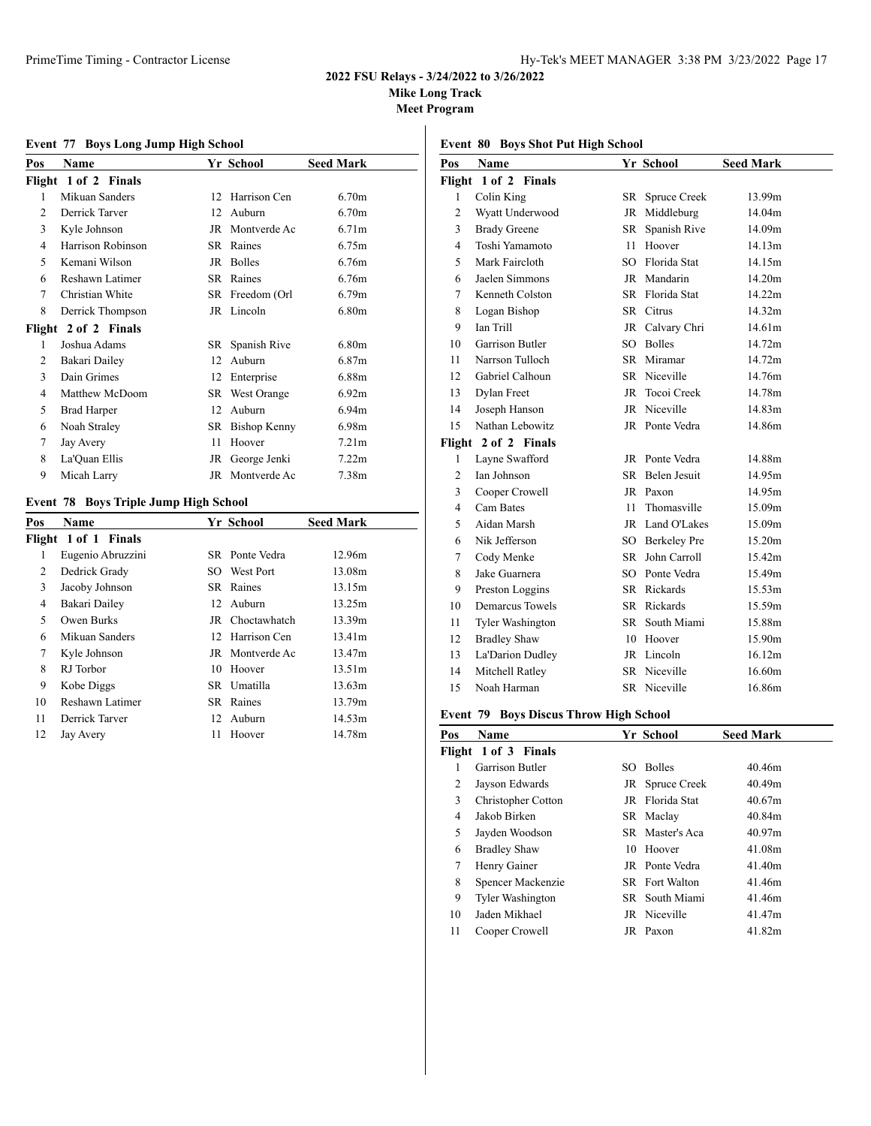**Mike Long Track**

**Meet Program**

# **Event 77 Boys Long Jump High School**

| Pos | Name                 |    | Yr School           | <b>Seed Mark</b>  |
|-----|----------------------|----|---------------------|-------------------|
|     | Flight 1 of 2 Finals |    |                     |                   |
| 1   | Mikuan Sanders       | 12 | Harrison Cen        | 6.70 <sub>m</sub> |
| 2   | Derrick Tarver       | 12 | Auburn              | 6.70 <sub>m</sub> |
| 3   | Kyle Johnson         | JR | Montverde Ac        | 6.71 <sub>m</sub> |
| 4   | Harrison Robinson    | SR | Raines              | 6.75m             |
| 5   | Kemani Wilson        | JR | <b>Bolles</b>       | 6.76m             |
| 6   | Reshawn Latimer      | SR | Raines              | 6.76m             |
| 7   | Christian White      |    | SR Freedom (Orl     | 6.79 <sub>m</sub> |
| 8   | Derrick Thompson     |    | JR Lincoln          | 6.80 <sub>m</sub> |
|     | Flight 2 of 2 Finals |    |                     |                   |
| 1   | Joshua Adams         | SR | Spanish Rive        | 6.80 <sub>m</sub> |
| 2   | Bakari Dailey        | 12 | Auburn              | 6.87 <sub>m</sub> |
| 3   | Dain Grimes          | 12 | Enterprise          | 6.88m             |
| 4   | Matthew McDoom       | SR | West Orange         | 6.92m             |
| 5   | Brad Harper          | 12 | Auburn              | 6.94m             |
| 6   | Noah Straley         | SR | <b>Bishop Kenny</b> | 6.98m             |
| 7   | Jay Avery            | 11 | Hoover              | 7.21 <sub>m</sub> |
| 8   | La'Quan Ellis        | JR | George Jenki        | 7.22m             |
| 9   | Micah Larry          |    | JR Montverde Ac     | 7.38m             |

### **Event 78 Boys Triple Jump High School**

| <b>Name</b>          |    |        | <b>Seed Mark</b>                                                                                                                                                        |
|----------------------|----|--------|-------------------------------------------------------------------------------------------------------------------------------------------------------------------------|
| Flight 1 of 1 Finals |    |        |                                                                                                                                                                         |
| Eugenio Abruzzini    |    |        | 12.96m                                                                                                                                                                  |
| Dedrick Grady        |    |        | 13.08m                                                                                                                                                                  |
| Jacoby Johnson       |    |        | 13.15m                                                                                                                                                                  |
| Bakari Dailey        |    |        | 13.25m                                                                                                                                                                  |
| Owen Burks           |    |        | 13.39m                                                                                                                                                                  |
| Mikuan Sanders       |    |        | 13.41m                                                                                                                                                                  |
| Kyle Johnson         |    |        | 13.47m                                                                                                                                                                  |
| RJ Torbor            | 10 | Hoover | 13.51m                                                                                                                                                                  |
| Kobe Diggs           |    |        | 13.63m                                                                                                                                                                  |
| Reshawn Latimer      |    |        | 13.79m                                                                                                                                                                  |
| Derrick Tarver       |    |        | 14.53m                                                                                                                                                                  |
| Jay Avery            | 11 | Hoover | 14.78m                                                                                                                                                                  |
|                      |    |        | Yr School<br>SR Ponte Vedra<br>SO West Port<br>SR Raines<br>12 Auburn<br>JR Choctawhatch<br>12 Harrison Cen<br>JR Montverde Ac<br>SR Umatilla<br>SR Raines<br>12 Auburn |

| Pos                  | Name                    |     | Yr School       | <b>Seed Mark</b> |  |  |  |
|----------------------|-------------------------|-----|-----------------|------------------|--|--|--|
| Flight 1 of 2 Finals |                         |     |                 |                  |  |  |  |
| 1                    | Colin King              |     | SR Spruce Creek | 13.99m           |  |  |  |
| $\overline{2}$       | Wyatt Underwood         |     | JR Middleburg   | 14.04m           |  |  |  |
| 3                    | <b>Brady Greene</b>     | SR  | Spanish Rive    | 14.09m           |  |  |  |
| $\overline{4}$       | Toshi Yamamoto          | 11  | Hoover          | 14.13m           |  |  |  |
| 5                    | Mark Faircloth          |     | SO Florida Stat | 14.15m           |  |  |  |
| 6                    | Jaelen Simmons          |     | JR Mandarin     | 14.20m           |  |  |  |
| 7                    | Kenneth Colston         |     | SR Florida Stat | 14.22m           |  |  |  |
| 8                    | Logan Bishop            |     | SR Citrus       | 14.32m           |  |  |  |
| 9                    | Ian Trill               |     | JR Calvary Chri | 14.61m           |  |  |  |
| 10                   | Garrison Butler         |     | SO Bolles       | 14.72m           |  |  |  |
| 11                   | Narrson Tulloch         |     | SR Miramar      | 14.72m           |  |  |  |
| 12                   | Gabriel Calhoun         |     | SR Niceville    | 14.76m           |  |  |  |
| 13                   | Dylan Freet             |     | JR Tocoi Creek  | 14.78m           |  |  |  |
| 14                   | Joseph Hanson           |     | JR Niceville    | 14.83m           |  |  |  |
| 15                   | Nathan Lebowitz         |     | JR Ponte Vedra  | 14.86m           |  |  |  |
|                      | Flight 2 of 2 Finals    |     |                 |                  |  |  |  |
| 1                    | Layne Swafford          |     | JR Ponte Vedra  | 14.88m           |  |  |  |
| 2                    | <b>Ian Johnson</b>      | SR  | Belen Jesuit    | 14.95m           |  |  |  |
| 3                    | Cooper Crowell          |     | JR Paxon        | 14.95m           |  |  |  |
| 4                    | Cam Bates               | 11. | Thomasville     | 15.09m           |  |  |  |
| 5                    | Aidan Marsh             |     | JR Land O'Lakes | 15.09m           |  |  |  |
| 6                    | Nik Jefferson           |     | SO Berkeley Pre | 15.20m           |  |  |  |
| 7                    | Cody Menke              |     | SR John Carroll | 15.42m           |  |  |  |
| 8                    | Jake Guarnera           |     | SO Ponte Vedra  | 15.49m           |  |  |  |
| 9                    | Preston Loggins         |     | SR Rickards     | 15.53m           |  |  |  |
| 10                   | <b>Demarcus Towels</b>  |     | SR Rickards     | 15.59m           |  |  |  |
| 11                   | <b>Tyler Washington</b> | SR  | South Miami     | 15.88m           |  |  |  |
| 12                   | <b>Bradley Shaw</b>     |     | 10 Hoover       | 15.90m           |  |  |  |
| 13                   | La'Darion Dudley        |     | JR Lincoln      | 16.12m           |  |  |  |
| 14                   | Mitchell Ratley         |     | SR Niceville    | 16.60m           |  |  |  |
| 15                   | Noah Harman             |     | SR Niceville    | 16.86m           |  |  |  |

# **Event 79 Boys Discus Throw High School**

| Pos | <b>Name</b>             |     | Yr School       | <b>Seed Mark</b> |
|-----|-------------------------|-----|-----------------|------------------|
|     | Flight 1 of 3 Finals    |     |                 |                  |
|     | Garrison Butler         | SO. | <b>Bolles</b>   | 40.46m           |
| 2   | Jayson Edwards          |     | JR Spruce Creek | 40.49m           |
| 3   | Christopher Cotton      |     | JR Florida Stat | 40.67m           |
| 4   | Jakob Birken            |     | SR Maclay       | 40.84m           |
| 5   | Jayden Woodson          |     | SR Master's Aca | 40.97m           |
| 6   | <b>Bradley Shaw</b>     | 10  | Hoover          | 41.08m           |
| 7   | Henry Gainer            |     | JR Ponte Vedra  | 41.40m           |
| 8   | Spencer Mackenzie       |     | SR Fort Walton  | 41.46m           |
| 9   | <b>Tyler Washington</b> |     | SR South Miami  | 41.46m           |
| 10  | Jaden Mikhael           |     | JR Niceville    | 41.47m           |
| 11  | Cooper Crowell          |     | JR Paxon        | 41.82m           |

# **Event 80 Boys Shot Put High School**